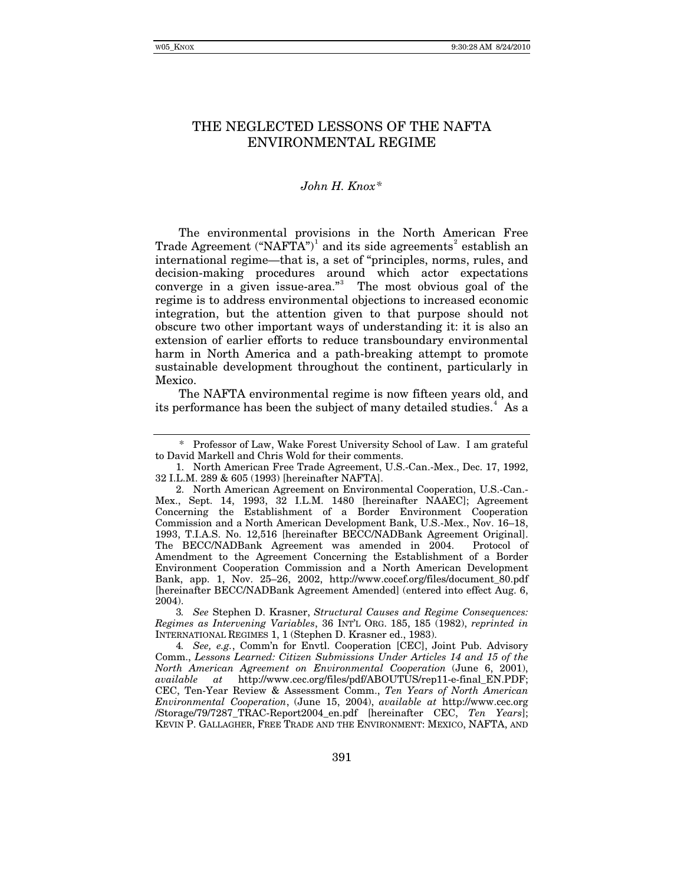# THE NEGLECTED LESSONS OF THE NAFTA ENVIRONMENTAL REGIME

## *John H. Knox[\\*](#page-0-0)*

The environmental provisions in the North American Free Trade Agreement ("NAFTA")<sup>[1](#page-0-1)</sup> and its side agreements<sup>[2](#page-0-2)</sup> establish an international regime—that is, a set of "principles, norms, rules, and decision-making procedures around which actor expectations converge in a given issue-area."<sup>[3](#page-0-3)</sup> The most obvious goal of the regime is to address environmental objections to increased economic integration, but the attention given to that purpose should not obscure two other important ways of understanding it: it is also an extension of earlier efforts to reduce transboundary environmental harm in North America and a path-breaking attempt to promote sustainable development throughout the continent, particularly in Mexico.

The NAFTA environmental regime is now fifteen years old, and its performance has been the subject of many detailed studies.<sup>[4](#page-0-4)</sup> As a

<span id="page-0-3"></span>3*. See* Stephen D. Krasner, *Structural Causes and Regime Consequences: Regimes as Intervening Variables*, 36 INT'L ORG. 185, 185 (1982), *reprinted in* INTERNATIONAL REGIMES 1, 1 (Stephen D. Krasner ed., 1983).

<span id="page-0-0"></span> <sup>\*</sup> Professor of Law, Wake Forest University School of Law. I am grateful to David Markell and Chris Wold for their comments.

<span id="page-0-1"></span><sup>1.</sup> North American Free Trade Agreement, U.S.-Can.-Mex., Dec. 17, 1992, 32 I.L.M. 289 & 605 (1993) [hereinafter NAFTA].

<span id="page-0-2"></span><sup>2.</sup> North American Agreement on Environmental Cooperation, U.S.-Can.- Mex., Sept. 14, 1993, 32 I.L.M. 1480 [hereinafter NAAEC]; Agreement Concerning the Establishment of a Border Environment Cooperation Commission and a North American Development Bank, U.S.-Mex., Nov. 16–18, 1993, T.I.A.S. No. 12,516 [hereinafter BECC/NADBank Agreement Original]. The BECC/NADBank Agreement was amended in 2004. Protocol of Amendment to the Agreement Concerning the Establishment of a Border Environment Cooperation Commission and a North American Development Bank, app. 1, Nov. 25–26, 2002, http://www.cocef.org/files/document\_80.pdf [hereinafter BECC/NADBank Agreement Amended] (entered into effect Aug. 6, 2004).

<span id="page-0-4"></span><sup>4</sup>*. See, e.g.*, Comm'n for Envtl. Cooperation [CEC], Joint Pub. Advisory Comm., *Lessons Learned: Citizen Submissions Under Articles 14 and 15 of the North American Agreement on Environmental Cooperation* (June 6, 2001), *available at* http://www.cec.org/files/pdf/ABOUTUS/rep11-e-final\_EN.PDF; CEC, Ten-Year Review & Assessment Comm., *Ten Years of North American Environmental Cooperation*, (June 15, 2004), *available at* http://www.cec.org /Storage/79/7287\_TRAC-Report2004\_en.pdf [hereinafter CEC, *Ten Years*]; KEVIN P. GALLAGHER, FREE TRADE AND THE ENVIRONMENT: MEXICO, NAFTA, AND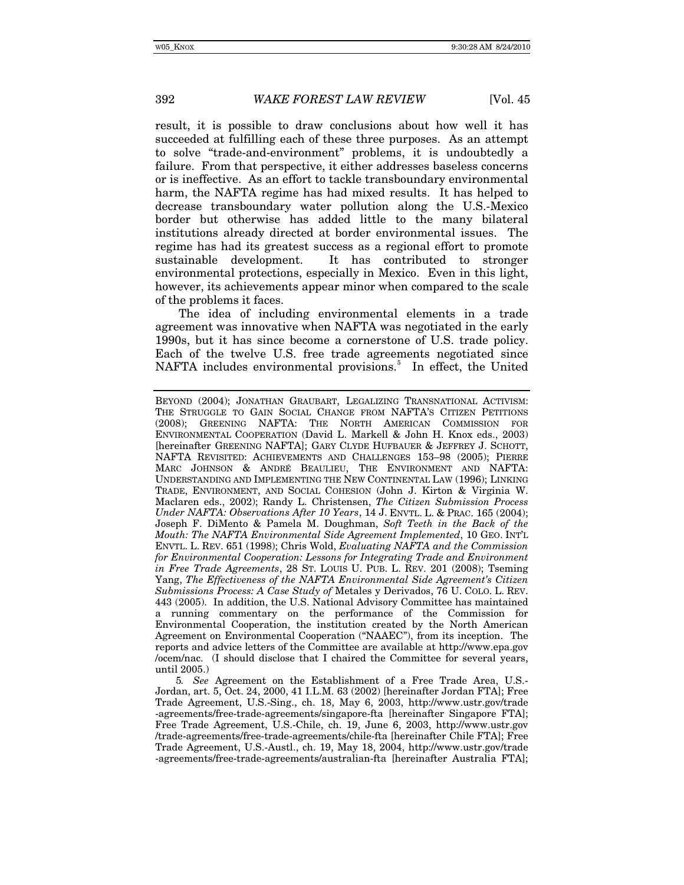result, it is possible to draw conclusions about how well it has succeeded at fulfilling each of these three purposes. As an attempt to solve "trade-and-environment" problems, it is undoubtedly a failure. From that perspective, it either addresses baseless concerns or is ineffective. As an effort to tackle transboundary environmental harm, the NAFTA regime has had mixed results. It has helped to decrease transboundary water pollution along the U.S.-Mexico border but otherwise has added little to the many bilateral institutions already directed at border environmental issues. The regime has had its greatest success as a regional effort to promote sustainable development. It has contributed to stronger environmental protections, especially in Mexico. Even in this light, however, its achievements appear minor when compared to the scale of the problems it faces.

The idea of including environmental elements in a trade agreement was innovative when NAFTA was negotiated in the early 1990s, but it has since become a cornerstone of U.S. trade policy. Each of the twelve U.S. free trade agreements negotiated since NAFTA includes environmental provisions.<sup>[5](#page-1-0)</sup> In effect, the United

BEYOND (2004); JONATHAN GRAUBART, LEGALIZING TRANSNATIONAL ACTIVISM: THE STRUGGLE TO GAIN SOCIAL CHANGE FROM NAFTA'S CITIZEN PETITIONS (2008); GREENING NAFTA: THE NORTH AMERICAN COMMISSION FOR ENVIRONMENTAL COOPERATION (David L. Markell & John H. Knox eds., 2003) [hereinafter GREENING NAFTA]; GARY CLYDE HUFBAUER & JEFFREY J. SCHOTT, NAFTA REVISITED: ACHIEVEMENTS AND CHALLENGES 153–98 (2005); PIERRE MARC JOHNSON & ANDRÉ BEAULIEU, THE ENVIRONMENT AND NAFTA: UNDERSTANDING AND IMPLEMENTING THE NEW CONTINENTAL LAW (1996); LINKING TRADE, ENVIRONMENT, AND SOCIAL COHESION (John J. Kirton & Virginia W. Maclaren eds., 2002); Randy L. Christensen, *The Citizen Submission Process Under NAFTA: Observations After 10 Years*, 14 J. ENVTL. L. & PRAC. 165 (2004); Joseph F. DiMento & Pamela M. Doughman, *Soft Teeth in the Back of the Mouth: The NAFTA Environmental Side Agreement Implemented*, 10 GEO. INT'L ENVTL. L. REV. 651 (1998); Chris Wold, *Evaluating NAFTA and the Commission for Environmental Cooperation: Lessons for Integrating Trade and Environment in Free Trade Agreements*, 28 ST. LOUIS U. PUB. L. REV. 201 (2008); Tseming Yang, *The Effectiveness of the NAFTA Environmental Side Agreement's Citizen Submissions Process: A Case Study of* Metales y Derivados, 76 U. COLO. L. REV. 443 (2005). In addition, the U.S. National Advisory Committee has maintained a running commentary on the performance of the Commission for Environmental Cooperation, the institution created by the North American Agreement on Environmental Cooperation ("NAAEC"), from its inception. The reports and advice letters of the Committee are available at http://www.epa.gov /ocem/nac. (I should disclose that I chaired the Committee for several years, until 2005.)

<span id="page-1-0"></span><sup>5</sup>*. See* Agreement on the Establishment of a Free Trade Area, U.S.- Jordan, art. 5, Oct. 24, 2000, 41 I.L.M. 63 (2002) [hereinafter Jordan FTA]; Free Trade Agreement, U.S.-Sing., ch. 18, May 6, 2003, http://www.ustr.gov/trade -agreements/free-trade-agreements/singapore-fta [hereinafter Singapore FTA]; Free Trade Agreement, U.S.-Chile, ch. 19, June 6, 2003, http://www.ustr.gov /trade-agreements/free-trade-agreements/chile-fta [hereinafter Chile FTA]; Free Trade Agreement, U.S.-Austl., ch. 19, May 18, 2004, http://www.ustr.gov/trade -agreements/free-trade-agreements/australian-fta [hereinafter Australia FTA];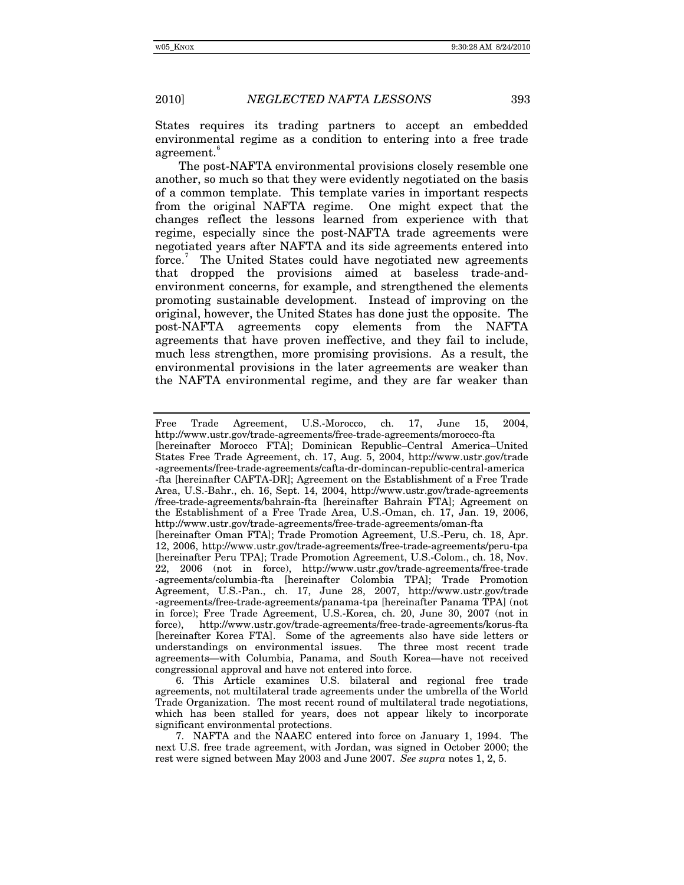States requires its trading partners to accept an embedded environmental regime as a condition to entering into a free trade  $agreement.<sup>6</sup>$  $agreement.<sup>6</sup>$  $agreement.<sup>6</sup>$ 

The post-NAFTA environmental provisions closely resemble one another, so much so that they were evidently negotiated on the basis of a common template. This template varies in important respects from the original NAFTA regime. One might expect that the changes reflect the lessons learned from experience with that regime, especially since the post-NAFTA trade agreements were negotiated years after NAFTA and its side agreements entered into force.<sup>[7](#page-2-1)</sup> The United States could have negotiated new agreements that dropped the provisions aimed at baseless trade-andenvironment concerns, for example, and strengthened the elements promoting sustainable development. Instead of improving on the original, however, the United States has done just the opposite. The post-NAFTA agreements copy elements from the NAFTA agreements that have proven ineffective, and they fail to include, much less strengthen, more promising provisions. As a result, the environmental provisions in the later agreements are weaker than the NAFTA environmental regime, and they are far weaker than

Free Trade Agreement, U.S.-Morocco, ch. 17, June 15, 2004, http://www.ustr.gov/trade-agreements/free-trade-agreements/morocco-fta

<sup>[</sup>hereinafter Morocco FTA]; Dominican Republic–Central America–United States Free Trade Agreement, ch. 17, Aug. 5, 2004, http://www.ustr.gov/trade -agreements/free-trade-agreements/cafta-dr-domincan-republic-central-america -fta [hereinafter CAFTA-DR]; Agreement on the Establishment of a Free Trade Area, U.S.-Bahr., ch. 16, Sept. 14, 2004, http://www.ustr.gov/trade-agreements /free-trade-agreements/bahrain-fta [hereinafter Bahrain FTA]; Agreement on the Establishment of a Free Trade Area, U.S.-Oman, ch. 17, Jan. 19, 2006, http://www.ustr.gov/trade-agreements/free-trade-agreements/oman-fta

<sup>[</sup>hereinafter Oman FTA]; Trade Promotion Agreement, U.S.-Peru, ch. 18, Apr. 12, 2006, http://www.ustr.gov/trade-agreements/free-trade-agreements/peru-tpa [hereinafter Peru TPA]; Trade Promotion Agreement, U.S.-Colom., ch. 18, Nov. 22, 2006 (not in force), http://www.ustr.gov/trade-agreements/free-trade -agreements/columbia-fta [hereinafter Colombia TPA]; Trade Promotion Agreement, U.S.-Pan., ch. 17, June 28, 2007, http://www.ustr.gov/trade -agreements/free-trade-agreements/panama-tpa [hereinafter Panama TPA] (not in force); Free Trade Agreement, U.S.-Korea, ch. 20, June 30, 2007 (not in force), http://www.ustr.gov/trade-agreements/free-trade-agreements/korus-fta [hereinafter Korea FTA].Some of the agreements also have side letters or understandings on environmental issues. agreements—with Columbia, Panama, and South Korea—have not received congressional approval and have not entered into force.

<span id="page-2-0"></span><sup>6.</sup> This Article examines U.S. bilateral and regional free trade agreements, not multilateral trade agreements under the umbrella of the World Trade Organization. The most recent round of multilateral trade negotiations, which has been stalled for years, does not appear likely to incorporate significant environmental protections.

<span id="page-2-1"></span><sup>7.</sup> NAFTA and the NAAEC entered into force on January 1, 1994. The next U.S. free trade agreement, with Jordan, was signed in October 2000; the rest were signed between May 2003 and June 2007. *See supra* notes 1, 2, 5.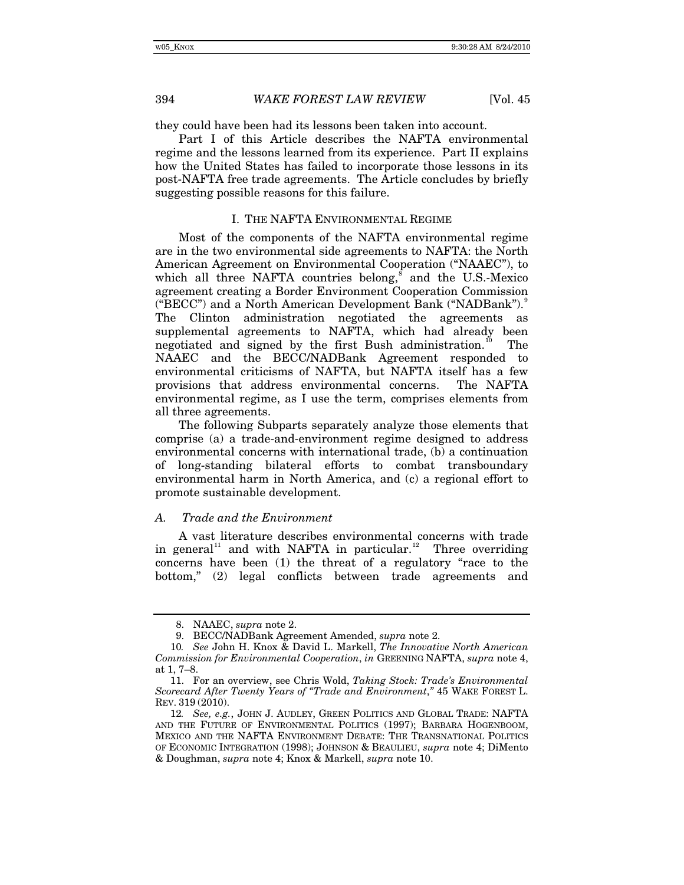they could have been had its lessons been taken into account.

Part I of this Article describes the NAFTA environmental regime and the lessons learned from its experience. Part II explains how the United States has failed to incorporate those lessons in its post-NAFTA free trade agreements. The Article concludes by briefly suggesting possible reasons for this failure.

### I. THE NAFTA ENVIRONMENTAL REGIME

Most of the components of the NAFTA environmental regime are in the two environmental side agreements to NAFTA: the North American Agreement on Environmental Cooperation ("NAAEC"), to which all three NAFTA countries belong,<sup>[8](#page-3-0)</sup> and the U.S.-Mexico agreement creating a Border Environment Cooperation Commission ("BECC") and a North American Development Bank ("NADBank")." The Clinton administration negotiated the agreements as supplemental agreements to NAFTA, which had already been negotiated and signed by the first Bush administration.<sup>[10](#page-3-2)</sup> The NAAEC and the BECC/NADBank Agreement responded to environmental criticisms of NAFTA, but NAFTA itself has a few provisions that address environmental concerns. The NAFTA environmental regime, as I use the term, comprises elements from all three agreements.

The following Subparts separately analyze those elements that comprise (a) a trade-and-environment regime designed to address environmental concerns with international trade, (b) a continuation of long-standing bilateral efforts to combat transboundary environmental harm in North America, and (c) a regional effort to promote sustainable development.

#### *A. Trade and the Environment*

A vast literature describes environmental concerns with trade in general<sup>[11](#page-3-3)</sup> and with NAFTA in particular.<sup>[12](#page-3-4)</sup> Three overriding concerns have been (1) the threat of a regulatory "race to the bottom," (2) legal conflicts between trade agreements and

<sup>8.</sup> NAAEC, *supra* note 2.

<sup>9.</sup> BECC/NADBank Agreement Amended, *supra* note 2.

<span id="page-3-2"></span><span id="page-3-1"></span><span id="page-3-0"></span><sup>10</sup>*. See* John H. Knox & David L. Markell, *The Innovative North American Commission for Environmental Cooperation*, *in* GREENING NAFTA, *supra* note 4, at 1, 7–8.

<span id="page-3-3"></span><sup>11.</sup> For an overview, see Chris Wold, *Taking Stock: Trade's Environmental Scorecard After Twenty Years of "Trade and Environment*,*"* 45 WAKE FOREST L. REV. 319 (2010).

<span id="page-3-4"></span><sup>12</sup>*. See, e.g.*, JOHN J. AUDLEY, GREEN POLITICS AND GLOBAL TRADE: NAFTA AND THE FUTURE OF ENVIRONMENTAL POLITICS (1997); BARBARA HOGENBOOM, MEXICO AND THE NAFTA ENVIRONMENT DEBATE: THE TRANSNATIONAL POLITICS OF ECONOMIC INTEGRATION (1998); JOHNSON & BEAULIEU, *supra* note 4; DiMento & Doughman, *supra* note 4; Knox & Markell, *supra* note 10.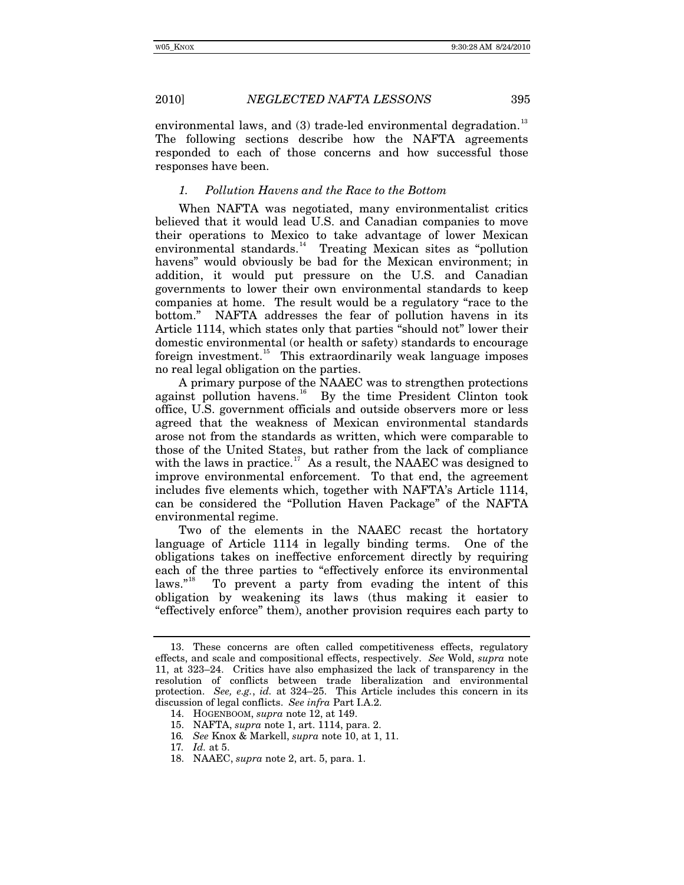environmental laws, and  $(3)$  trade-led environmental degradation.<sup>[13](#page-4-0)</sup> The following sections describe how the NAFTA agreements responded to each of those concerns and how successful those responses have been.

## *1. Pollution Havens and the Race to the Bottom*

When NAFTA was negotiated, many environmentalist critics believed that it would lead U.S. and Canadian companies to move their operations to Mexico to take advantage of lower Mexican environmental standards.[14](#page-4-1) Treating Mexican sites as "pollution havens" would obviously be bad for the Mexican environment; in addition, it would put pressure on the U.S. and Canadian governments to lower their own environmental standards to keep companies at home. The result would be a regulatory "race to the bottom." NAFTA addresses the fear of pollution havens in its Article 1114, which states only that parties "should not" lower their domestic environmental (or health or safety) standards to encourage foreign investment.<sup>[15](#page-4-2)</sup> This extraordinarily weak language imposes no real legal obligation on the parties.

A primary purpose of the NAAEC was to strengthen protections against pollution havens.<sup>[16](#page-4-3)</sup> By the time President Clinton took office, U.S. government officials and outside observers more or less agreed that the weakness of Mexican environmental standards arose not from the standards as written, which were comparable to those of the United States, but rather from the lack of compliance with the laws in practice.<sup>[17](#page-4-4)</sup> As a result, the NAAEC was designed to improve environmental enforcement. To that end, the agreement includes five elements which, together with NAFTA's Article 1114, can be considered the "Pollution Haven Package" of the NAFTA environmental regime.

Two of the elements in the NAAEC recast the hortatory language of Article 1114 in legally binding terms. One of the obligations takes on ineffective enforcement directly by requiring each of the three parties to "effectively enforce its environmental<br>laws."<sup>18</sup> To prevent a party from evading the intent of this To prevent a party from evading the intent of this obligation by weakening its laws (thus making it easier to "effectively enforce" them), another provision requires each party to

<span id="page-4-1"></span><span id="page-4-0"></span><sup>13.</sup> These concerns are often called competitiveness effects, regulatory effects, and scale and compositional effects, respectively. *See* Wold, *supra* note 11, at 323–24. Critics have also emphasized the lack of transparency in the resolution of conflicts between trade liberalization and environmental protection. *See, e.g.*, *id.* at 324–25. This Article includes this concern in its discussion of legal conflicts. *See infra* Part I.A.2.

<sup>14.</sup> HOGENBOOM, *supra* note 12, at 149.

<sup>15.</sup> NAFTA, *supra* note 1, art. 1114, para. 2.

<span id="page-4-3"></span><span id="page-4-2"></span><sup>16</sup>*. See* Knox & Markell, *supra* note 10, at 1, 11.

<span id="page-4-4"></span><sup>17</sup>*. Id.* at 5.

<span id="page-4-5"></span><sup>18.</sup> NAAEC, *supra* note 2, art. 5, para. 1.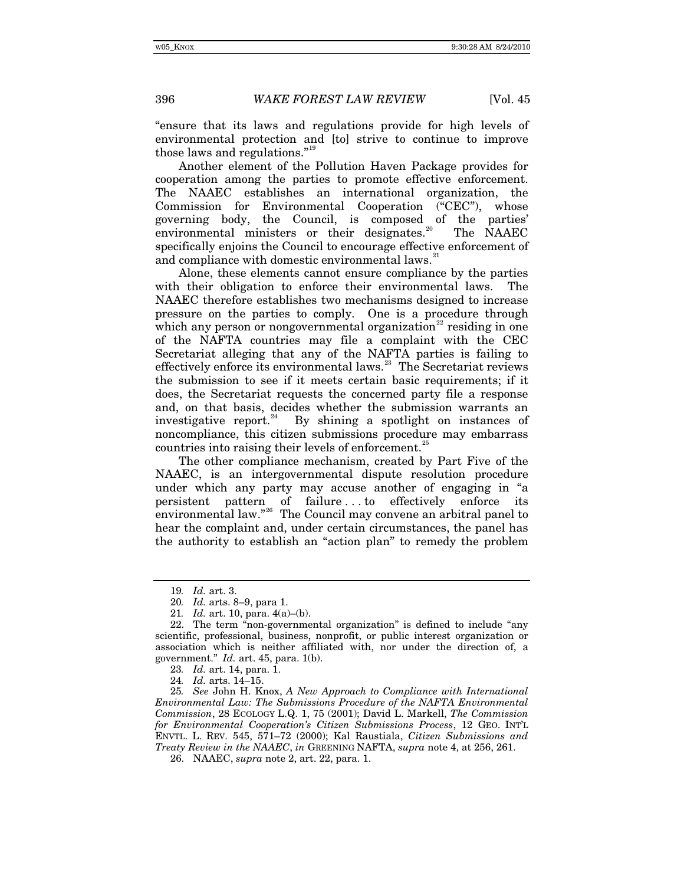"ensure that its laws and regulations provide for high levels of environmental protection and [to] strive to continue to improve those laws and regulations."[19](#page-5-0)

Another element of the Pollution Haven Package provides for cooperation among the parties to promote effective enforcement. The NAAEC establishes an international organization, the Commission for Environmental Cooperation ("CEC"), whose governing body, the Council, is composed of the parties' environmental ministers or their designates.<sup>[20](#page-5-1)</sup> The NAAEC specifically enjoins the Council to encourage effective enforcement of and compliance with domestic environmental laws.<sup>2</sup>

Alone, these elements cannot ensure compliance by the parties with their obligation to enforce their environmental laws. The NAAEC therefore establishes two mechanisms designed to increase pressure on the parties to comply. One is a procedure through which any person or nongovernmental organization<sup>[22](#page-5-3)</sup> residing in one of the NAFTA countries may file a complaint with the CEC Secretariat alleging that any of the NAFTA parties is failing to effectively enforce its environmental laws.<sup>[23](#page-5-4)</sup> The Secretariat reviews the submission to see if it meets certain basic requirements; if it does, the Secretariat requests the concerned party file a response and, on that basis, decides whether the submission warrants an investigative report.<sup>[24](#page-5-5)</sup> By shining a spotlight on instances of noncompliance, this citizen submissions procedure may embarrass countries into raising their levels of enforcement. $25$ 

The other compliance mechanism, created by Part Five of the NAAEC, is an intergovernmental dispute resolution procedure under which any party may accuse another of engaging in "a persistent pattern of failure . . . to effectively enforce its environmental law."<sup>[26](#page-5-7)</sup> The Council may convene an arbitral panel to hear the complaint and, under certain circumstances, the panel has the authority to establish an "action plan" to remedy the problem

<sup>19</sup>*. Id.* art. 3.

<sup>20</sup>*. Id.* arts. 8–9, para 1.

<sup>21</sup>*. Id.* art. 10, para. 4(a)–(b).

<span id="page-5-3"></span><span id="page-5-2"></span><span id="page-5-1"></span><span id="page-5-0"></span><sup>22.</sup> The term "non-governmental organization" is defined to include "any scientific, professional, business, nonprofit, or public interest organization or association which is neither affiliated with, nor under the direction of, a government." *Id.* art. 45, para. 1(b).

<sup>23</sup>*. Id.* art. 14, para. 1.

<sup>24</sup>*. Id.* arts. 14–15.

<span id="page-5-7"></span><span id="page-5-6"></span><span id="page-5-5"></span><span id="page-5-4"></span><sup>25</sup>*. See* John H. Knox, *A New Approach to Compliance with International Environmental Law: The Submissions Procedure of the NAFTA Environmental Commission*, 28 ECOLOGY L.Q. 1, 75 (2001); David L. Markell, *The Commission for Environmental Cooperation's Citizen Submissions Process*, 12 GEO. INT'L ENVTL. L. REV. 545, 571–72 (2000); Kal Raustiala, *Citizen Submissions and Treaty Review in the NAAEC*, *in* GREENING NAFTA, *supra* note 4, at 256, 261.

<sup>26.</sup> NAAEC, *supra* note 2, art. 22, para. 1.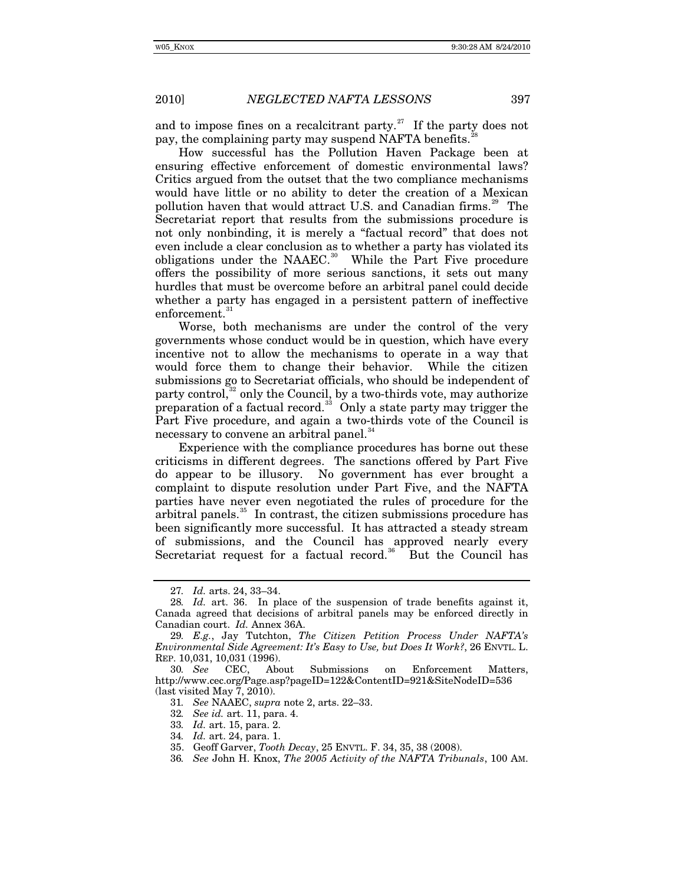and to impose fines on a recalcitrant party.<sup>[27](#page-6-0)</sup> If the party does not pay, the complaining party may suspend NAFTA benefits.<sup>2</sup>

How successful has the Pollution Haven Package been at ensuring effective enforcement of domestic environmental laws? Critics argued from the outset that the two compliance mechanisms would have little or no ability to deter the creation of a Mexican pollution haven that would attract U.S. and Canadian firms.<sup>[29](#page-6-2)</sup> The Secretariat report that results from the submissions procedure is not only nonbinding, it is merely a "factual record" that does not even include a clear conclusion as to whether a party has violated its obligations under the NAAEC.<sup>[30](#page-6-3)</sup> While the Part Five procedure offers the possibility of more serious sanctions, it sets out many hurdles that must be overcome before an arbitral panel could decide whether a party has engaged in a persistent pattern of ineffective enforcement.<sup>3</sup>

Worse, both mechanisms are under the control of the very governments whose conduct would be in question, which have every incentive not to allow the mechanisms to operate in a way that would force them to change their behavior. While the citizen submissions go to Secretariat officials, who should be independent of party control, $32$  only the Council, by a two-thirds vote, may authorize preparation of a factual record.<sup>[33](#page-6-6)</sup> Only a state party may trigger the Part Five procedure, and again a two-thirds vote of the Council is necessary to convene an arbitral panel.<sup>[34](#page-6-7)</sup>

Experience with the compliance procedures has borne out these criticisms in different degrees. The sanctions offered by Part Five do appear to be illusory. No government has ever brought a complaint to dispute resolution under Part Five, and the NAFTA parties have never even negotiated the rules of procedure for the arbitral panels.<sup>[35](#page-6-8)</sup> In contrast, the citizen submissions procedure has been significantly more successful. It has attracted a steady stream of submissions, and the Council has approved nearly every Secretariat request for a factual record. $36$  But the Council has

31*. See* NAAEC, *supra* note 2, arts. 22–33.

32*. See id.* art. 11, para. 4.

- 33*. Id.* art. 15, para. 2.
- <span id="page-6-8"></span>34*. Id.* art. 24, para. 1.
- 35. Geoff Garver, *Tooth Decay*, 25 ENVTL. F. 34, 35, 38 (2008).
- <span id="page-6-9"></span>36*. See* John H. Knox, *The 2005 Activity of the NAFTA Tribunals*, 100 AM.

<sup>27</sup>*. Id.* arts. 24, 33–34.

<span id="page-6-1"></span><span id="page-6-0"></span><sup>28</sup>*. Id.* art. 36. In place of the suspension of trade benefits against it, Canada agreed that decisions of arbitral panels may be enforced directly in Canadian court. *Id.* Annex 36A.

<span id="page-6-2"></span><sup>29</sup>*. E.g.*, Jay Tutchton, *The Citizen Petition Process Under NAFTA's Environmental Side Agreement: It's Easy to Use, but Does It Work?*, 26 ENVTL. L. REP. 10,031, 10,031 (1996).

<span id="page-6-7"></span><span id="page-6-6"></span><span id="page-6-5"></span><span id="page-6-4"></span><span id="page-6-3"></span><sup>30</sup>*. See* CEC, About Submissions on Enforcement Matters, http://www.cec.org/Page.asp?pageID=122&ContentID=921&SiteNodeID=536 (last visited May 7, 2010).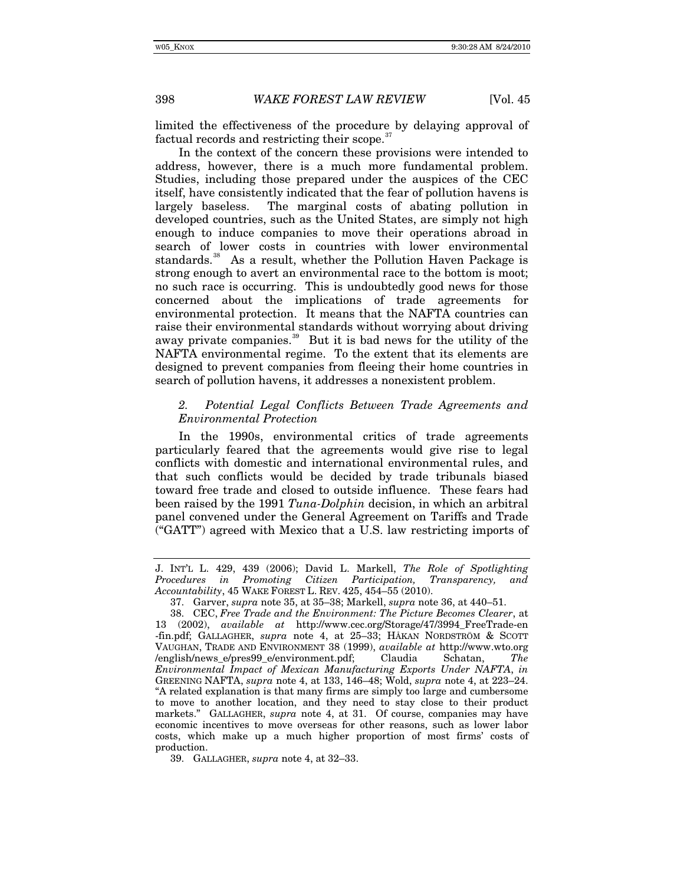limited the effectiveness of the procedure by delaying approval of factual records and restricting their scope.

In the context of the concern these provisions were intended to address, however, there is a much more fundamental problem. Studies, including those prepared under the auspices of the CEC itself, have consistently indicated that the fear of pollution havens is largely baseless. The marginal costs of abating pollution in developed countries, such as the United States, are simply not high enough to induce companies to move their operations abroad in search of lower costs in countries with lower environmental standards.<sup>[38](#page-7-1)</sup> As a result, whether the Pollution Haven Package is strong enough to avert an environmental race to the bottom is moot; no such race is occurring. This is undoubtedly good news for those concerned about the implications of trade agreements for environmental protection. It means that the NAFTA countries can raise their environmental standards without worrying about driving away private companies.<sup>[39](#page-7-2)</sup> But it is bad news for the utility of the NAFTA environmental regime. To the extent that its elements are designed to prevent companies from fleeing their home countries in search of pollution havens, it addresses a nonexistent problem.

## *2. Potential Legal Conflicts Between Trade Agreements and Environmental Protection*

In the 1990s, environmental critics of trade agreements particularly feared that the agreements would give rise to legal conflicts with domestic and international environmental rules, and that such conflicts would be decided by trade tribunals biased toward free trade and closed to outside influence. These fears had been raised by the 1991 *Tuna-Dolphin* decision, in which an arbitral panel convened under the General Agreement on Tariffs and Trade ("GATT") agreed with Mexico that a U.S. law restricting imports of

J. INT'L L. 429, 439 (2006); David L. Markell, *The Role of Spotlighting Procedures in Promoting Citizen Participation, Transparency, and Accountability*, 45 WAKE FOREST L. REV. 425, 454–55 (2010).

<sup>37.</sup> Garver, *supra* note 35, at 35–38; Markell, *supra* note 36, at 440–51.

<span id="page-7-1"></span><span id="page-7-0"></span><sup>38.</sup> CEC, *Free Trade and the Environment: The Picture Becomes Clearer*, at 13 (2002), *available at* http://www.cec.org/Storage/47/3994\_FreeTrade-en -fin.pdf; GALLAGHER, *supra* note 4, at 25–33; HÅKAN NORDSTRÖM & SCOTT VAUGHAN, TRADE AND ENVIRONMENT 38 (1999), *available at* http://www.wto.org /english/news\_e/pres99\_e/environment.pdf; Claudia Schatan, *The Environmental Impact of Mexican Manufacturing Exports Under NAFTA*, *in*  GREENING NAFTA, *supra* note 4, at 133, 146–48; Wold, *supra* note 4, at 223–24. "A related explanation is that many firms are simply too large and cumbersome to move to another location, and they need to stay close to their product markets." GALLAGHER, *supra* note 4, at 31. Of course, companies may have economic incentives to move overseas for other reasons, such as lower labor costs, which make up a much higher proportion of most firms' costs of production.

<span id="page-7-2"></span><sup>39.</sup> GALLAGHER, *supra* note 4, at 32–33.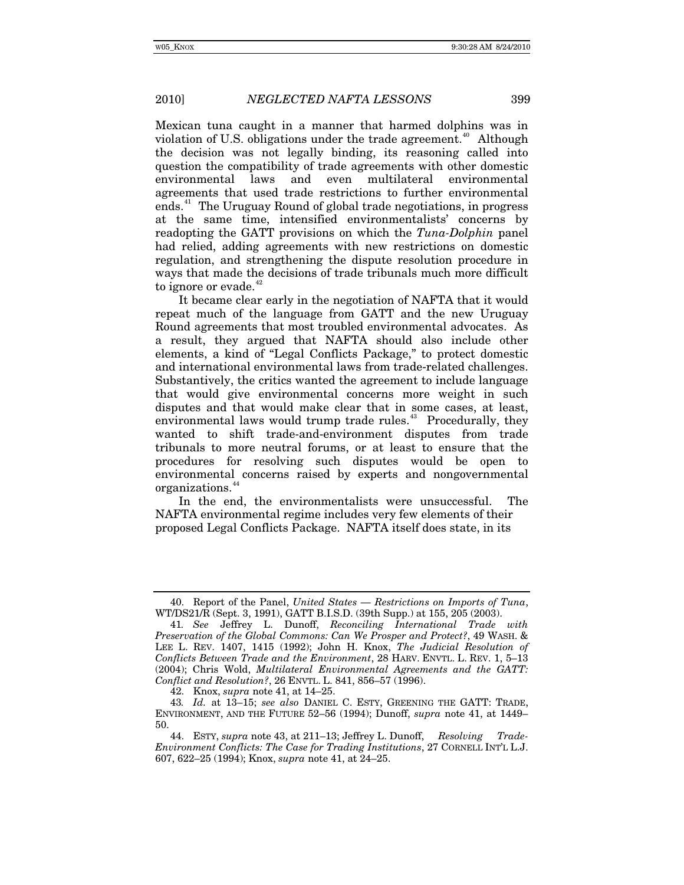Mexican tuna caught in a manner that harmed dolphins was in violation of U.S. obligations under the trade agreement.<sup>[40](#page-8-0)</sup> Although the decision was not legally binding, its reasoning called into question the compatibility of trade agreements with other domestic environmental laws and even multilateral environmental agreements that used trade restrictions to further environmental ends.[41](#page-8-1) The Uruguay Round of global trade negotiations, in progress at the same time, intensified environmentalists' concerns by readopting the GATT provisions on which the *Tuna-Dolphin* panel had relied, adding agreements with new restrictions on domestic regulation, and strengthening the dispute resolution procedure in ways that made the decisions of trade tribunals much more difficult to ignore or evade.<sup>[42](#page-8-2)</sup>

It became clear early in the negotiation of NAFTA that it would repeat much of the language from GATT and the new Uruguay Round agreements that most troubled environmental advocates. As a result, they argued that NAFTA should also include other elements, a kind of "Legal Conflicts Package," to protect domestic and international environmental laws from trade-related challenges. Substantively, the critics wanted the agreement to include language that would give environmental concerns more weight in such disputes and that would make clear that in some cases, at least, environmental laws would trump trade rules.<sup> $43$ </sup> Procedurally, they wanted to shift trade-and-environment disputes from trade tribunals to more neutral forums, or at least to ensure that the procedures for resolving such disputes would be open to environmental concerns raised by experts and nongovernmental organizations.[44](#page-8-4)

In the end, the environmentalists were unsuccessful. The NAFTA environmental regime includes very few elements of their proposed Legal Conflicts Package. NAFTA itself does state, in its

42. Knox, *supra* note 41, at 14–25.

<span id="page-8-0"></span><sup>40.</sup> Report of the Panel, *United States — Restrictions on Imports of Tuna*, WT/DS21/R (Sept. 3, 1991), GATT B.I.S.D. (39th Supp.) at 155, 205 (2003).

<span id="page-8-1"></span><sup>41</sup>*. See* Jeffrey L. Dunoff, *Reconciling International Trade with Preservation of the Global Commons: Can We Prosper and Protect?*, 49 WASH. & LEE L. REV. 1407, 1415 (1992); John H. Knox, *The Judicial Resolution of Conflicts Between Trade and the Environment*, 28 HARV. ENVTL. L. REV. 1, 5–13 (2004); Chris Wold, *Multilateral Environmental Agreements and the GATT: Conflict and Resolution?*, 26 ENVTL. L. 841, 856–57 (1996).

<span id="page-8-3"></span><span id="page-8-2"></span><sup>43</sup>*. Id.* at 13–15; *see also* DANIEL C. ESTY, GREENING THE GATT: TRADE, ENVIRONMENT, AND THE FUTURE 52–56 (1994); Dunoff, *supra* note 41, at 1449– 50.

<span id="page-8-4"></span><sup>44.</sup> ESTY, *supra* note 43, at 211–13; Jeffrey L. Dunoff, *Resolving Trade-Environment Conflicts: The Case for Trading Institutions*, 27 CORNELL INT'L L.J. 607, 622–25 (1994); Knox, *supra* note 41, at 24–25.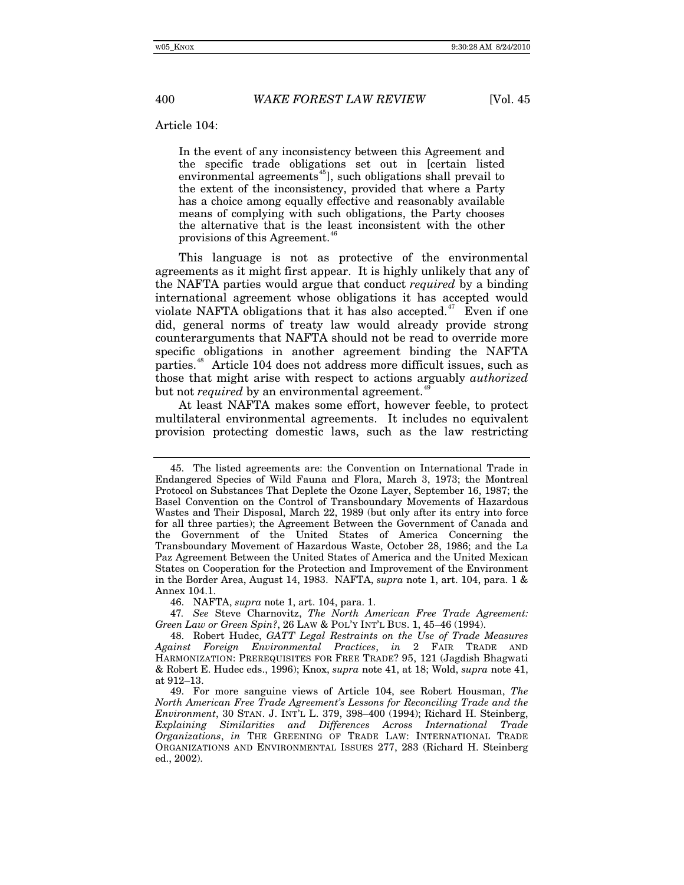Article 104:

In the event of any inconsistency between this Agreement and the specific trade obligations set out in [certain listed environmental agreements<sup>[45](#page-9-0)</sup>], such obligations shall prevail to the extent of the inconsistency, provided that where a Party has a choice among equally effective and reasonably available means of complying with such obligations, the Party chooses the alternative that is the least inconsistent with the other provisions of this Agreement.<sup>[46](#page-9-1)</sup>

This language is not as protective of the environmental agreements as it might first appear. It is highly unlikely that any of the NAFTA parties would argue that conduct *required* by a binding international agreement whose obligations it has accepted would violate NAFTA obligations that it has also accepted.<sup>[47](#page-9-2)</sup> Even if one did, general norms of treaty law would already provide strong counterarguments that NAFTA should not be read to override more specific obligations in another agreement binding the NAFTA parties.[48](#page-9-3) Article 104 does not address more difficult issues, such as those that might arise with respect to actions arguably *authorized* but not *required* by an environmental agreement.<sup>4</sup>

At least NAFTA makes some effort, however feeble, to protect multilateral environmental agreements. It includes no equivalent provision protecting domestic laws, such as the law restricting

46. NAFTA, *supra* note 1, art. 104, para. 1.

<span id="page-9-2"></span><span id="page-9-1"></span>47*. See* Steve Charnovitz, *The North American Free Trade Agreement: Green Law or Green Spin?*, 26 LAW & POL'Y INT'L BUS. 1, 45–46 (1994).

<span id="page-9-3"></span>48. Robert Hudec, *GATT Legal Restraints on the Use of Trade Measures Against Foreign Environmental Practices*, *in* 2 FAIR TRADE AND HARMONIZATION: PREREQUISITES FOR FREE TRADE? 95, 121 (Jagdish Bhagwati & Robert E. Hudec eds., 1996); Knox, *supra* note 41, at 18; Wold, *supra* note 41, at 912–13.

<span id="page-9-0"></span><sup>45.</sup> The listed agreements are: the Convention on International Trade in Endangered Species of Wild Fauna and Flora, March 3, 1973; the Montreal Protocol on Substances That Deplete the Ozone Layer, September 16, 1987; the Basel Convention on the Control of Transboundary Movements of Hazardous Wastes and Their Disposal, March 22, 1989 (but only after its entry into force for all three parties); the Agreement Between the Government of Canada and the Government of the United States of America Concerning the Transboundary Movement of Hazardous Waste, October 28, 1986; and the La Paz Agreement Between the United States of America and the United Mexican States on Cooperation for the Protection and Improvement of the Environment in the Border Area, August 14, 1983. NAFTA, *supra* note 1, art. 104, para. 1 & Annex 104.1.

<span id="page-9-4"></span><sup>49.</sup> For more sanguine views of Article 104, see Robert Housman, *The North American Free Trade Agreement's Lessons for Reconciling Trade and the Environment*, 30 STAN. J. INT'L L. 379, 398–400 (1994); Richard H. Steinberg, *Explaining Similarities and Differences Across International Trade Organizations*, *in* THE GREENING OF TRADE LAW: INTERNATIONAL TRADE ORGANIZATIONS AND ENVIRONMENTAL ISSUES 277, 283 (Richard H. Steinberg ed., 2002).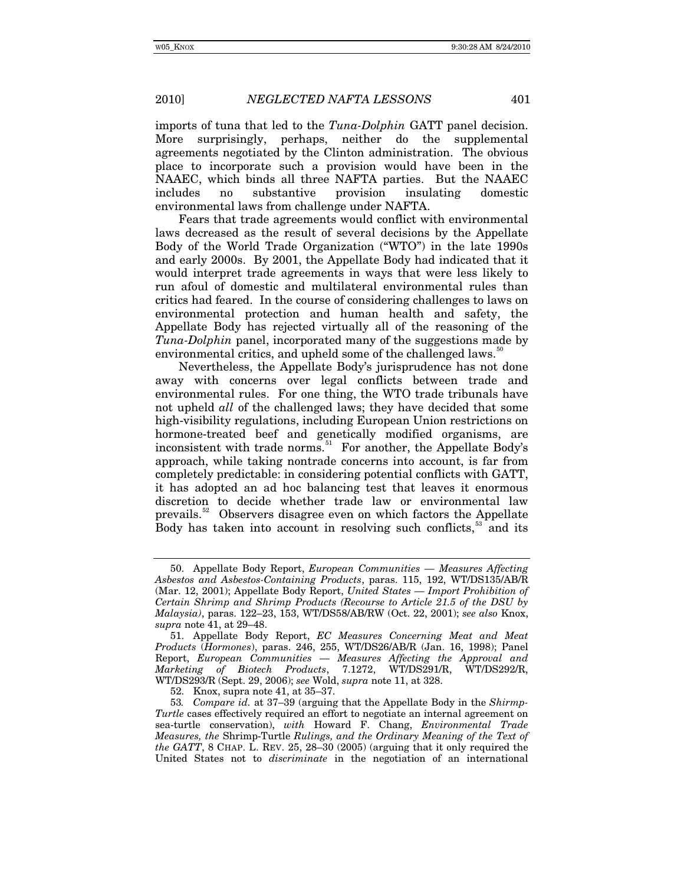imports of tuna that led to the *Tuna-Dolphin* GATT panel decision. More surprisingly, perhaps, neither do the supplemental agreements negotiated by the Clinton administration. The obvious place to incorporate such a provision would have been in the NAAEC, which binds all three NAFTA parties. But the NAAEC includes no substantive provision insulating domestic environmental laws from challenge under NAFTA.

Fears that trade agreements would conflict with environmental laws decreased as the result of several decisions by the Appellate Body of the World Trade Organization ("WTO") in the late 1990s and early 2000s. By 2001, the Appellate Body had indicated that it would interpret trade agreements in ways that were less likely to run afoul of domestic and multilateral environmental rules than critics had feared. In the course of considering challenges to laws on environmental protection and human health and safety, the Appellate Body has rejected virtually all of the reasoning of the *Tuna-Dolphin* panel, incorporated many of the suggestions made by environmental critics, and upheld some of the challenged laws.<sup>3</sup>

Nevertheless, the Appellate Body's jurisprudence has not done away with concerns over legal conflicts between trade and environmental rules. For one thing, the WTO trade tribunals have not upheld *all* of the challenged laws; they have decided that some high-visibility regulations, including European Union restrictions on hormone-treated beef and genetically modified organisms, are inconsistent with trade norms.<sup>[51](#page-10-1)</sup> For another, the Appellate Body's approach, while taking nontrade concerns into account, is far from completely predictable: in considering potential conflicts with GATT, it has adopted an ad hoc balancing test that leaves it enormous discretion to decide whether trade law or environmental law prevails.<sup>[52](#page-10-2)</sup> Observers disagree even on which factors the Appellate Body has taken into account in resolving such conflicts, $53$  and its

<span id="page-10-0"></span><sup>50.</sup> Appellate Body Report, *European Communities — Measures Affecting Asbestos and Asbestos-Containing Products*, paras. 115, 192, WT/DS135/AB/R (Mar. 12, 2001); Appellate Body Report, *United States — Import Prohibition of Certain Shrimp and Shrimp Products (Recourse to Article 21.5 of the DSU by Malaysia)*, paras. 122–23, 153, WT/DS58/AB/RW (Oct. 22, 2001); *see also* Knox, *supra* note 41, at 29–48.

<span id="page-10-1"></span><sup>51.</sup> Appellate Body Report, *EC Measures Concerning Meat and Meat Products* (*Hormones*), paras. 246, 255, WT/DS26/AB/R (Jan. 16, 1998); Panel Report, *European Communities — Measures Affecting the Approval and Marketing of Biotech Products*, 7.1272, WT/DS291/R, WT/DS292/R, WT/DS293/R (Sept. 29, 2006); *see* Wold, *supra* note 11, at 328.

<sup>52.</sup> Knox, supra note 41, at 35–37.

<span id="page-10-3"></span><span id="page-10-2"></span><sup>53</sup>*. Compare id.* at 37–39 (arguing that the Appellate Body in the *Shirmp-Turtle* cases effectively required an effort to negotiate an internal agreement on sea-turtle conservation), *with* Howard F. Chang, *Environmental Trade Measures, the* Shrimp-Turtle *Rulings, and the Ordinary Meaning of the Text of the GATT*, 8 CHAP. L. REV. 25, 28–30 (2005) (arguing that it only required the United States not to *discriminate* in the negotiation of an international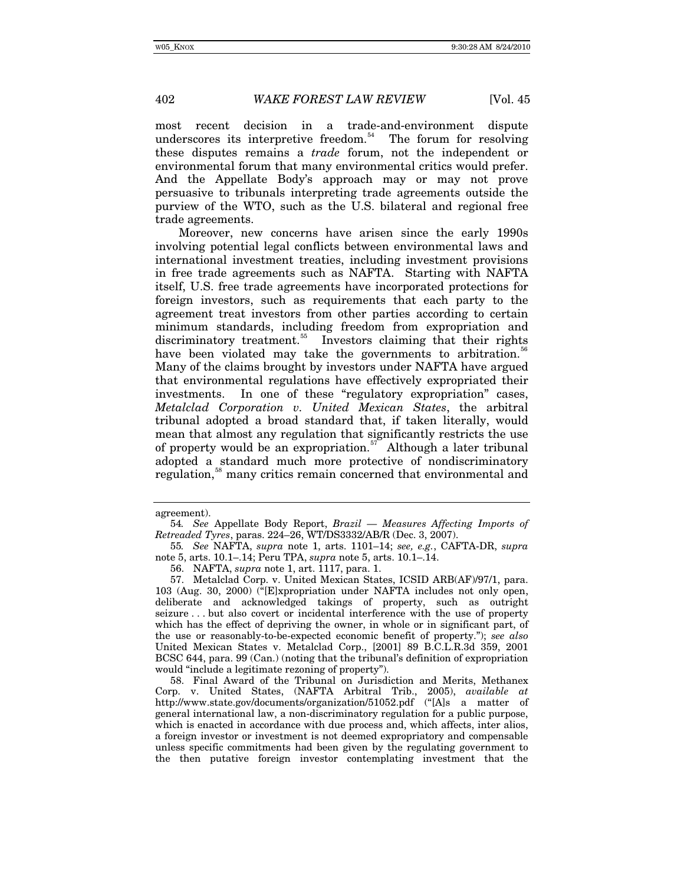most recent decision in a trade-and-environment dispute underscores its interpretive freedom.<sup>[54](#page-11-0)</sup> The forum for resolving these disputes remains a *trade* forum, not the independent or environmental forum that many environmental critics would prefer. And the Appellate Body's approach may or may not prove persuasive to tribunals interpreting trade agreements outside the purview of the WTO, such as the U.S. bilateral and regional free trade agreements.

Moreover, new concerns have arisen since the early 1990s involving potential legal conflicts between environmental laws and international investment treaties, including investment provisions in free trade agreements such as NAFTA. Starting with NAFTA itself, U.S. free trade agreements have incorporated protections for foreign investors, such as requirements that each party to the agreement treat investors from other parties according to certain minimum standards, including freedom from expropriation and discriminatory treatment.<sup>[55](#page-11-1)</sup> Investors claiming that their rights have been violated may take the governments to arbitration. Many of the claims brought by investors under NAFTA have argued that environmental regulations have effectively expropriated their investments. In one of these "regulatory expropriation" cases, *Metalclad Corporation v. United Mexican States*, the arbitral tribunal adopted a broad standard that, if taken literally, would mean that almost any regulation that significantly restricts the use of property would be an expropriation.<sup>[57](#page-11-3)</sup> Although a later tribunal adopted a standard much more protective of nondiscriminatory regulation,<sup>[58](#page-11-4)</sup> many critics remain concerned that environmental and

agreement).

<span id="page-11-0"></span><sup>54</sup>*. See* Appellate Body Report, *Brazil — Measures Affecting Imports of Retreaded Tyres*, paras. 224–26, WT/DS3332/AB/R (Dec. 3, 2007).

<span id="page-11-1"></span><sup>55</sup>*. See* NAFTA, *supra* note 1, arts. 1101–14; *see, e.g.*, CAFTA-DR, *supra*  note 5, arts. 10.1–.14; Peru TPA, *supra* note 5, arts. 10.1–.14.

<sup>56.</sup> NAFTA, *supra* note 1, art. 1117, para. 1.

<span id="page-11-3"></span><span id="page-11-2"></span><sup>57.</sup> Metalclad Corp. v. United Mexican States, ICSID ARB(AF)/97/1, para. 103 (Aug. 30, 2000) ("[E]xpropriation under NAFTA includes not only open, deliberate and acknowledged takings of property, such as outright seizure . . . but also covert or incidental interference with the use of property which has the effect of depriving the owner, in whole or in significant part, of the use or reasonably-to-be-expected economic benefit of property."); *see also*  United Mexican States v. Metalclad Corp., [2001] 89 B.C.L.R.3d 359, 2001 BCSC 644, para. 99 (Can.) (noting that the tribunal's definition of expropriation would "include a legitimate rezoning of property").

<span id="page-11-4"></span><sup>58.</sup> Final Award of the Tribunal on Jurisdiction and Merits, Methanex Corp. v. United States, (NAFTA Arbitral Trib., 2005), *available at* http://www.state.gov/documents/organization/51052.pdf ("[A]s a matter of general international law, a non-discriminatory regulation for a public purpose, which is enacted in accordance with due process and, which affects, inter alios, a foreign investor or investment is not deemed expropriatory and compensable unless specific commitments had been given by the regulating government to the then putative foreign investor contemplating investment that the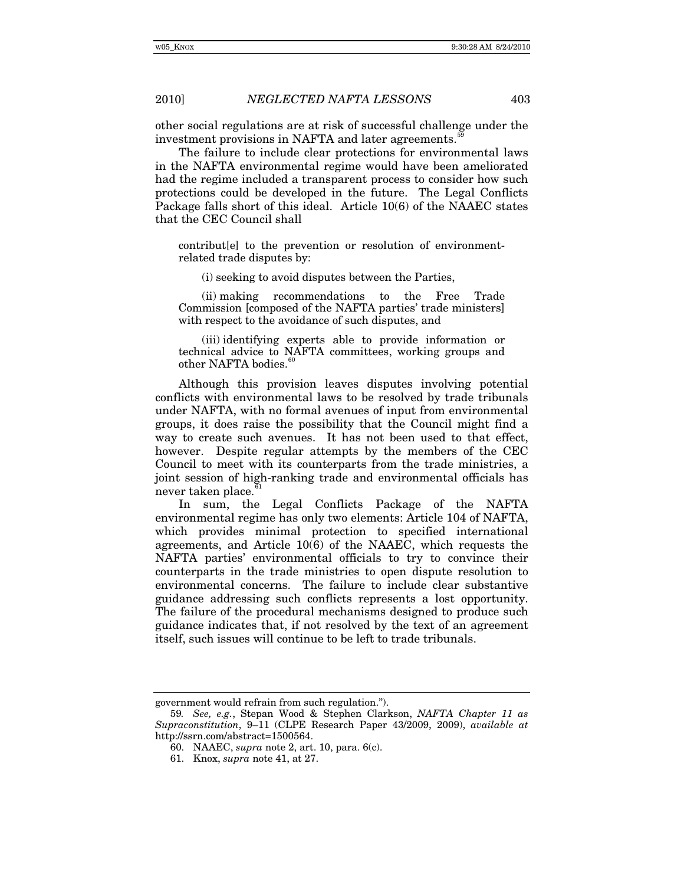other social regulations are at risk of successful challenge under the investment provisions in NAFTA and later agreements.

The failure to include clear protections for environmental laws in the NAFTA environmental regime would have been ameliorated had the regime included a transparent process to consider how such protections could be developed in the future. The Legal Conflicts Package falls short of this ideal. Article 10(6) of the NAAEC states that the CEC Council shall

contribut[e] to the prevention or resolution of environmentrelated trade disputes by:

(i) seeking to avoid disputes between the Parties,

(ii) making recommendations to the Free Trade Commission [composed of the NAFTA parties' trade ministers] with respect to the avoidance of such disputes, and

(iii) identifying experts able to provide information or technical advice to NAFTA committees, working groups and other NAFTA bodies.<sup>[60](#page-12-1)</sup>

Although this provision leaves disputes involving potential conflicts with environmental laws to be resolved by trade tribunals under NAFTA, with no formal avenues of input from environmental groups, it does raise the possibility that the Council might find a way to create such avenues. It has not been used to that effect, however. Despite regular attempts by the members of the CEC Council to meet with its counterparts from the trade ministries, a joint session of high-ranking trade and environmental officials has never taken place.

In sum, the Legal Conflicts Package of the NAFTA environmental regime has only two elements: Article 104 of NAFTA, which provides minimal protection to specified international agreements, and Article 10(6) of the NAAEC, which requests the NAFTA parties' environmental officials to try to convince their counterparts in the trade ministries to open dispute resolution to environmental concerns. The failure to include clear substantive guidance addressing such conflicts represents a lost opportunity. The failure of the procedural mechanisms designed to produce such guidance indicates that, if not resolved by the text of an agreement itself, such issues will continue to be left to trade tribunals.

government would refrain from such regulation.").

<span id="page-12-2"></span><span id="page-12-1"></span><span id="page-12-0"></span><sup>59</sup>*. See, e.g.*, Stepan Wood & Stephen Clarkson, *NAFTA Chapter 11 as Supraconstitution*, 9–11 (CLPE Research Paper 43/2009, 2009), *available at*  http://ssrn.com/abstract=1500564.

<sup>60.</sup> NAAEC, *supra* note 2, art. 10, para. 6(c).

<sup>61.</sup> Knox, *supra* note 41, at 27.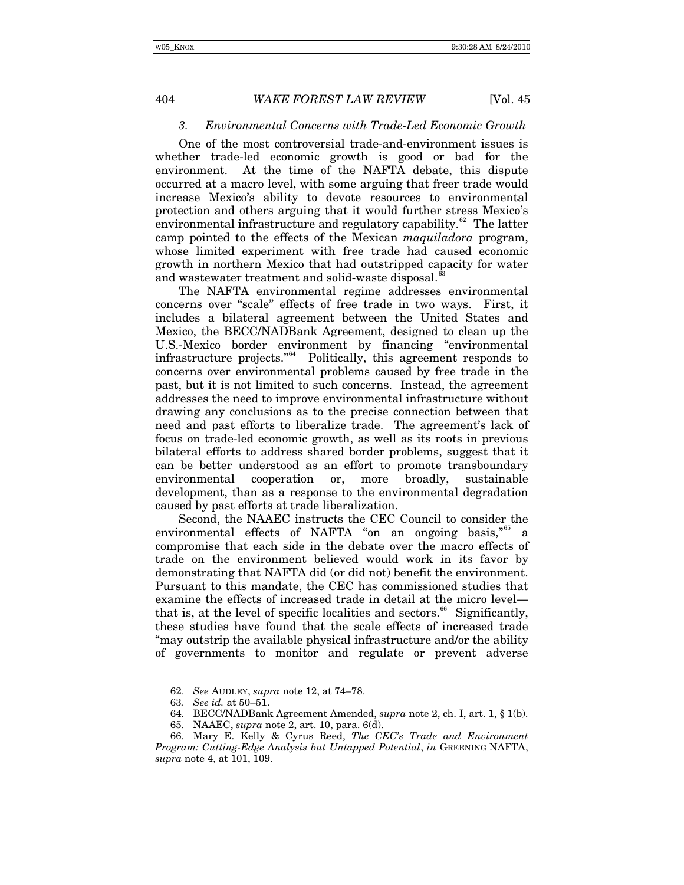### *3. Environmental Concerns with Trade-Led Economic Growth*

One of the most controversial trade-and-environment issues is whether trade-led economic growth is good or bad for the environment. At the time of the NAFTA debate, this dispute occurred at a macro level, with some arguing that freer trade would increase Mexico's ability to devote resources to environmental protection and others arguing that it would further stress Mexico's environmental infrastructure and regulatory capability. $62$  The latter camp pointed to the effects of the Mexican *maquiladora* program, whose limited experiment with free trade had caused economic growth in northern Mexico that had outstripped capacity for water and wastewater treatment and solid-waste disposal.<sup>[63](#page-13-1)</sup>

The NAFTA environmental regime addresses environmental concerns over "scale" effects of free trade in two ways. First, it includes a bilateral agreement between the United States and Mexico, the BECC/NADBank Agreement, designed to clean up the U.S.-Mexico border environment by financing "environmental infrastructure projects."[64](#page-13-2) Politically, this agreement responds to concerns over environmental problems caused by free trade in the past, but it is not limited to such concerns. Instead, the agreement addresses the need to improve environmental infrastructure without drawing any conclusions as to the precise connection between that need and past efforts to liberalize trade. The agreement's lack of focus on trade-led economic growth, as well as its roots in previous bilateral efforts to address shared border problems, suggest that it can be better understood as an effort to promote transboundary<br>environmental cooperation or, more broadly, sustainable environmental cooperation or, more broadly, sustainable development, than as a response to the environmental degradation caused by past efforts at trade liberalization.

Second, the NAAEC instructs the CEC Council to consider the environmental effects of NAFTA "on an ongoing basis,"<sup>[65](#page-13-3)</sup> a compromise that each side in the debate over the macro effects of trade on the environment believed would work in its favor by demonstrating that NAFTA did (or did not) benefit the environment. Pursuant to this mandate, the CEC has commissioned studies that examine the effects of increased trade in detail at the micro level— that is, at the level of specific localities and sectors.<sup>[66](#page-13-4)</sup> Significantly, these studies have found that the scale effects of increased trade "may outstrip the available physical infrastructure and/or the ability of governments to monitor and regulate or prevent adverse

<sup>62</sup>*. See* AUDLEY, *supra* note 12, at 74–78.

<sup>63</sup>*. See id.* at 50–51.

<sup>64.</sup> BECC/NADBank Agreement Amended, *supra* note 2, ch. I, art. 1, § 1(b).

<sup>65.</sup> NAAEC, *supra* note 2, art. 10, para. 6(d).

<span id="page-13-4"></span><span id="page-13-3"></span><span id="page-13-2"></span><span id="page-13-1"></span><span id="page-13-0"></span><sup>66.</sup> Mary E. Kelly & Cyrus Reed, *The CEC's Trade and Environment Program: Cutting-Edge Analysis but Untapped Potential*, *in* GREENING NAFTA, *supra* note 4, at 101, 109.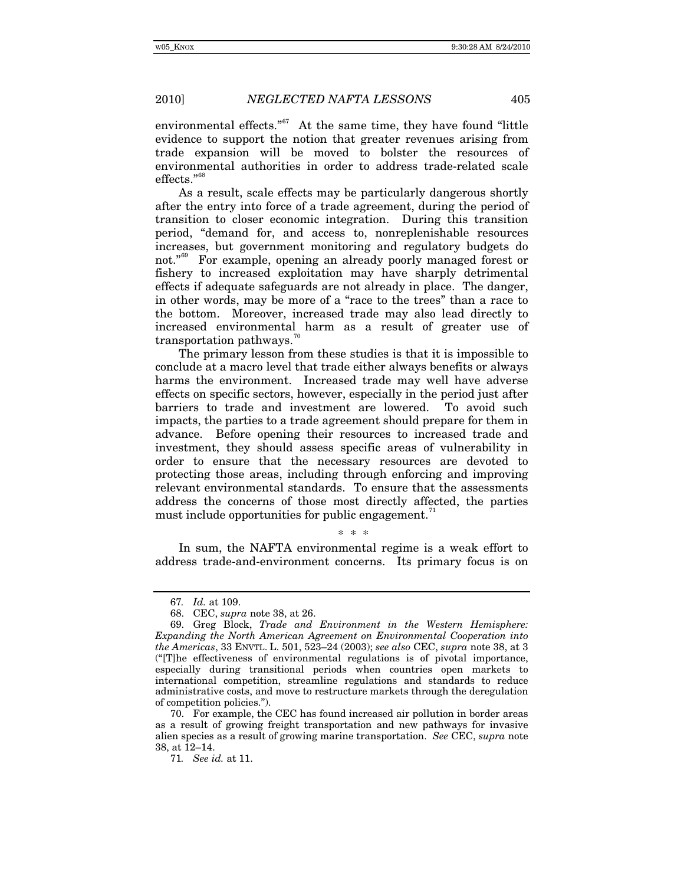environmental effects." $67$  At the same time, they have found "little" evidence to support the notion that greater revenues arising from trade expansion will be moved to bolster the resources of environmental authorities in order to address trade-related scale effects."<sup>[68](#page-14-1)</sup>

As a result, scale effects may be particularly dangerous shortly after the entry into force of a trade agreement, during the period of transition to closer economic integration. During this transition period, "demand for, and access to, nonreplenishable resources increases, but government monitoring and regulatory budgets do not."<sup>[69](#page-14-2)</sup> For example, opening an already poorly managed forest or fishery to increased exploitation may have sharply detrimental effects if adequate safeguards are not already in place. The danger, in other words, may be more of a "race to the trees" than a race to the bottom. Moreover, increased trade may also lead directly to increased environmental harm as a result of greater use of transportation pathways.<sup>[70](#page-14-3)</sup>

The primary lesson from these studies is that it is impossible to conclude at a macro level that trade either always benefits or always harms the environment. Increased trade may well have adverse effects on specific sectors, however, especially in the period just after barriers to trade and investment are lowered. To avoid such impacts, the parties to a trade agreement should prepare for them in advance. Before opening their resources to increased trade and investment, they should assess specific areas of vulnerability in order to ensure that the necessary resources are devoted to protecting those areas, including through enforcing and improving relevant environmental standards. To ensure that the assessments address the concerns of those most directly affected, the parties must include opportunities for public engagement.<sup> $7$ </sup>

\* \* \*

In sum, the NAFTA environmental regime is a weak effort to address trade-and-environment concerns. Its primary focus is on

<sup>67</sup>*. Id.* at 109.

<sup>68.</sup> CEC, *supra* note 38, at 26.

<span id="page-14-2"></span><span id="page-14-1"></span><span id="page-14-0"></span><sup>69.</sup> Greg Block, *Trade and Environment in the Western Hemisphere: Expanding the North American Agreement on Environmental Cooperation into the Americas*, 33 ENVTL. L. 501, 523–24 (2003); *see also* CEC, *supra* note 38, at 3 ("[T]he effectiveness of environmental regulations is of pivotal importance, especially during transitional periods when countries open markets to international competition, streamline regulations and standards to reduce administrative costs, and move to restructure markets through the deregulation of competition policies.").

<span id="page-14-4"></span><span id="page-14-3"></span><sup>70.</sup> For example, the CEC has found increased air pollution in border areas as a result of growing freight transportation and new pathways for invasive alien species as a result of growing marine transportation. *See* CEC, *supra* note 38, at 12–14.

<sup>71</sup>*. See id.* at 11.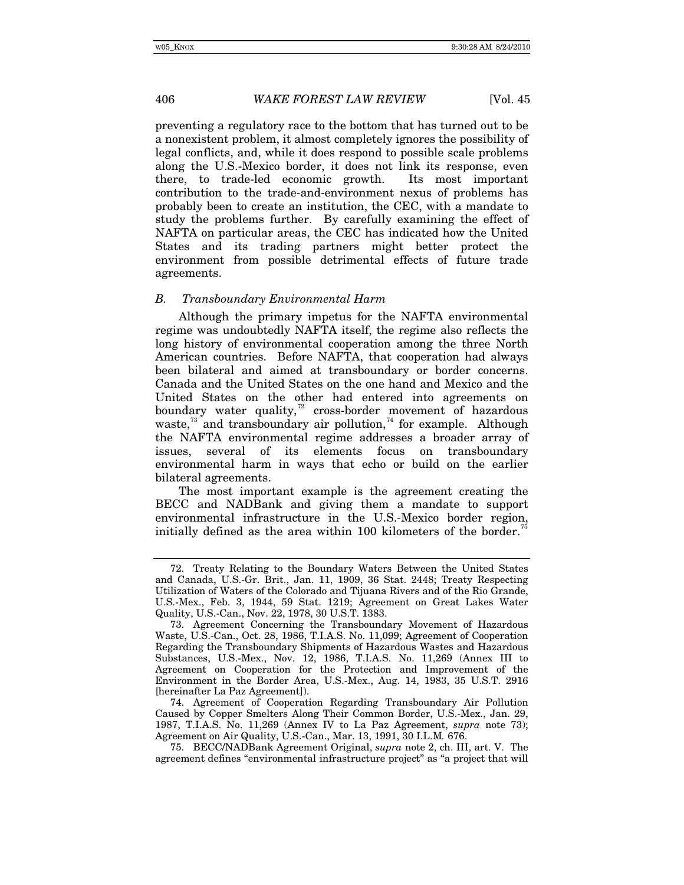preventing a regulatory race to the bottom that has turned out to be a nonexistent problem, it almost completely ignores the possibility of legal conflicts, and, while it does respond to possible scale problems along the U.S.-Mexico border, it does not link its response, even there, to trade-led economic growth. Its most important contribution to the trade-and-environment nexus of problems has probably been to create an institution, the CEC, with a mandate to study the problems further. By carefully examining the effect of NAFTA on particular areas, the CEC has indicated how the United States and its trading partners might better protect the environment from possible detrimental effects of future trade agreements.

#### *B. Transboundary Environmental Harm*

Although the primary impetus for the NAFTA environmental regime was undoubtedly NAFTA itself, the regime also reflects the long history of environmental cooperation among the three North American countries. Before NAFTA, that cooperation had always been bilateral and aimed at transboundary or border concerns. Canada and the United States on the one hand and Mexico and the United States on the other had entered into agreements on boundary water quality,<sup>[72](#page-15-0)</sup> cross-border movement of hazardous waste,<sup>[73](#page-15-1)</sup> and transboundary air pollution,<sup>[74](#page-15-2)</sup> for example. Although the NAFTA environmental regime addresses a broader array of issues, several of its elements focus on transboundary environmental harm in ways that echo or build on the earlier bilateral agreements.

The most important example is the agreement creating the BECC and NADBank and giving them a mandate to support environmental infrastructure in the U.S.-Mexico border region, initially defined as the area within 100 kilometers of the border.<sup>7</sup>

<span id="page-15-2"></span>74. Agreement of Cooperation Regarding Transboundary Air Pollution Caused by Copper Smelters Along Their Common Border, U.S.-Mex., Jan. 29, 1987, T.I.A.S. No. 11,269 (Annex IV to La Paz Agreement, *supra* note 73); Agreement on Air Quality, U.S.-Can., Mar. 13, 1991, 30 I.L.M*.* 676.

<span id="page-15-0"></span><sup>72.</sup> Treaty Relating to the Boundary Waters Between the United States and Canada, U.S.-Gr. Brit., Jan. 11, 1909, 36 Stat. 2448; Treaty Respecting Utilization of Waters of the Colorado and Tijuana Rivers and of the Rio Grande, U.S.-Mex., Feb. 3, 1944, 59 Stat. 1219; Agreement on Great Lakes Water Quality, U.S.-Can., Nov. 22, 1978, 30 U.S.T. 1383.

<span id="page-15-1"></span><sup>73.</sup> Agreement Concerning the Transboundary Movement of Hazardous Waste, U.S.-Can., Oct. 28, 1986, T.I.A.S. No. 11,099; Agreement of Cooperation Regarding the Transboundary Shipments of Hazardous Wastes and Hazardous Substances, U.S.-Mex., Nov. 12, 1986, T.I.A.S. No. 11,269 (Annex III to Agreement on Cooperation for the Protection and Improvement of the Environment in the Border Area, U.S.-Mex., Aug. 14, 1983, 35 U.S.T. 2916 [hereinafter La Paz Agreement]).

<span id="page-15-3"></span><sup>75.</sup> BECC/NADBank Agreement Original, *supra* note 2, ch. III, art. V. The agreement defines "environmental infrastructure project" as "a project that will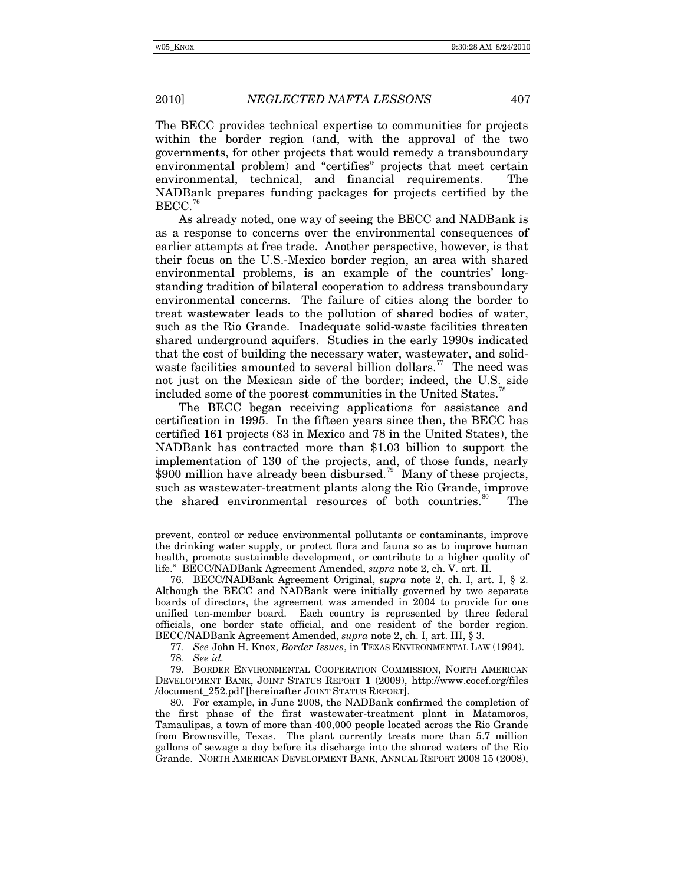The BECC provides technical expertise to communities for projects within the border region (and, with the approval of the two governments, for other projects that would remedy a transboundary environmental problem) and "certifies" projects that meet certain environmental, technical, and financial requirements. NADBank prepares funding packages for projects certified by the  $BECC.<sup>76</sup>$  $BECC.<sup>76</sup>$  $BECC.<sup>76</sup>$ 

As already noted, one way of seeing the BECC and NADBank is as a response to concerns over the environmental consequences of earlier attempts at free trade. Another perspective, however, is that their focus on the U.S.-Mexico border region, an area with shared environmental problems, is an example of the countries' longstanding tradition of bilateral cooperation to address transboundary environmental concerns. The failure of cities along the border to treat wastewater leads to the pollution of shared bodies of water, such as the Rio Grande. Inadequate solid-waste facilities threaten shared underground aquifers. Studies in the early 1990s indicated that the cost of building the necessary water, wastewater, and solid-waste facilities amounted to several billion dollars.<sup>[77](#page-16-1)</sup> The need was not just on the Mexican side of the border; indeed, the U.S. side included some of the poorest communities in the United States.

The BECC began receiving applications for assistance and certification in 1995. In the fifteen years since then, the BECC has certified 161 projects (83 in Mexico and 78 in the United States), the NADBank has contracted more than \$1.03 billion to support the implementation of 130 of the projects, and, of those funds, nearly \$900 million have already been disbursed.<sup>[79](#page-16-3)</sup> Many of these projects, such as wastewater-treatment plants along the Rio Grande, improve the shared environmental resources of both countries.<sup>[80](#page-16-4)</sup> The

77*. See* John H. Knox, *Border Issues*, in TEXAS ENVIRONMENTAL LAW (1994). 78*. See id.*

<span id="page-16-3"></span><span id="page-16-2"></span><span id="page-16-1"></span>79. BORDER ENVIRONMENTAL COOPERATION COMMISSION, NORTH AMERICAN DEVELOPMENT BANK, JOINT STATUS REPORT 1 (2009), http://www.cocef.org/files /document\_252.pdf [hereinafter JOINT STATUS REPORT].

<span id="page-16-4"></span>80. For example, in June 2008, the NADBank confirmed the completion of the first phase of the first wastewater-treatment plant in Matamoros, Tamaulipas, a town of more than 400,000 people located across the Rio Grande from Brownsville, Texas. The plant currently treats more than 5.7 million gallons of sewage a day before its discharge into the shared waters of the Rio Grande. NORTH AMERICAN DEVELOPMENT BANK, ANNUAL REPORT 2008 15 (2008),

prevent, control or reduce environmental pollutants or contaminants, improve the drinking water supply, or protect flora and fauna so as to improve human health, promote sustainable development, or contribute to a higher quality of life." BECC/NADBank Agreement Amended, *supra* note 2, ch. V. art. II.

<span id="page-16-0"></span><sup>76.</sup> BECC/NADBank Agreement Original, *supra* note 2, ch. I, art. I, § 2. Although the BECC and NADBank were initially governed by two separate boards of directors, the agreement was amended in 2004 to provide for one unified ten-member board. Each country is represented by three federal officials, one border state official, and one resident of the border region. BECC/NADBank Agreement Amended, *supra* note 2, ch. I, art. III, § 3.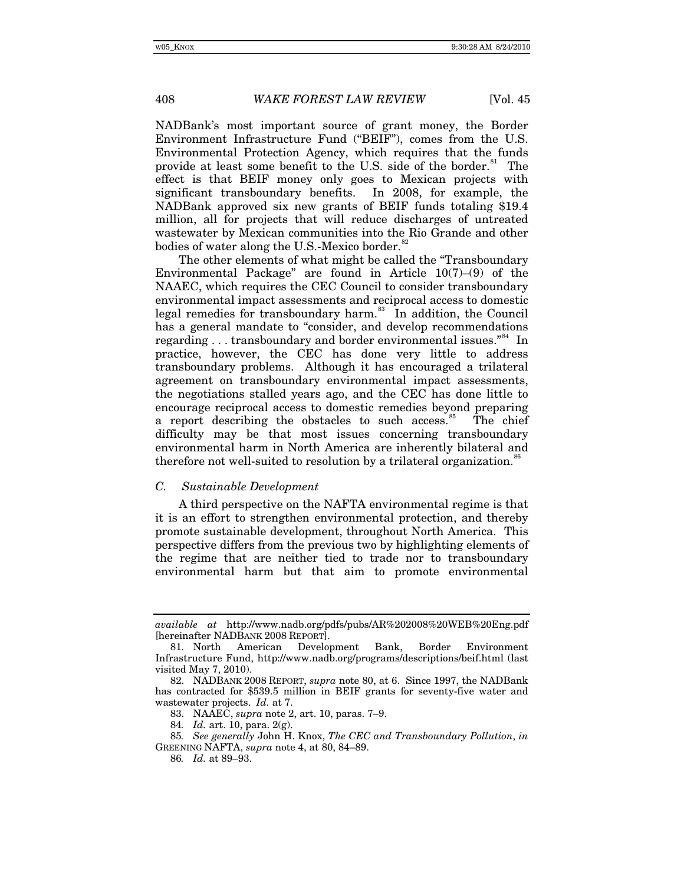NADBank's most important source of grant money, the Border Environment Infrastructure Fund ("BEIF"), comes from the U.S. Environmental Protection Agency, which requires that the funds provide at least some benefit to the U.S. side of the border.<sup>[81](#page-17-0)</sup> The effect is that BEIF money only goes to Mexican projects with significant transboundary benefits. In 2008, for example, the NADBank approved six new grants of BEIF funds totaling \$19.4 million, all for projects that will reduce discharges of untreated wastewater by Mexican communities into the Rio Grande and other bodies of water along the U.S.-Mexico border.<sup>8</sup>

The other elements of what might be called the "Transboundary Environmental Package" are found in Article 10(7)–(9) of the NAAEC, which requires the CEC Council to consider transboundary environmental impact assessments and reciprocal access to domestic legal remedies for transboundary harm.<sup>[83](#page-17-2)</sup> In addition, the Council has a general mandate to "consider, and develop recommendations regarding  $\dots$  transboundary and border environmental issues.<sup>"[84](#page-17-3)</sup> In practice, however, the CEC has done very little to address transboundary problems. Although it has encouraged a trilateral agreement on transboundary environmental impact assessments, the negotiations stalled years ago, and the CEC has done little to encourage reciprocal access to domestic remedies beyond preparing a report describing the obstacles to such access.<sup>[85](#page-17-4)</sup> The chief difficulty may be that most issues concerning transboundary environmental harm in North America are inherently bilateral and therefore not well-suited to resolution by a trilateral organization.<sup>[86](#page-17-5)</sup>

#### *C. Sustainable Development*

A third perspective on the NAFTA environmental regime is that it is an effort to strengthen environmental protection, and thereby promote sustainable development, throughout North America. This perspective differs from the previous two by highlighting elements of the regime that are neither tied to trade nor to transboundary environmental harm but that aim to promote environmental

*available at* http://www.nadb.org/pdfs/pubs/AR%202008%20WEB%20Eng.pdf [hereinafter NADBANK 2008 REPORT].

<span id="page-17-0"></span><sup>81.</sup> North American Development Bank, Border Environment Infrastructure Fund, http://www.nadb.org/programs/descriptions/beif.html (last visited May 7, 2010).

<span id="page-17-1"></span><sup>82.</sup> NADBANK 2008 REPORT, *supra* note 80, at 6. Since 1997, the NADBank has contracted for \$539.5 million in BEIF grants for seventy-five water and wastewater projects. *Id.* at 7.

<sup>83.</sup> NAAEC, *supra* note 2, art. 10, paras. 7–9.

<sup>84</sup>*. Id.* art. 10, para. 2(g).

<span id="page-17-5"></span><span id="page-17-4"></span><span id="page-17-3"></span><span id="page-17-2"></span><sup>85</sup>*. See generally* John H. Knox, *The CEC and Transboundary Pollution*, *in*  GREENING NAFTA, *supra* note 4, at 80, 84–89.

<sup>86</sup>*. Id.* at 89–93.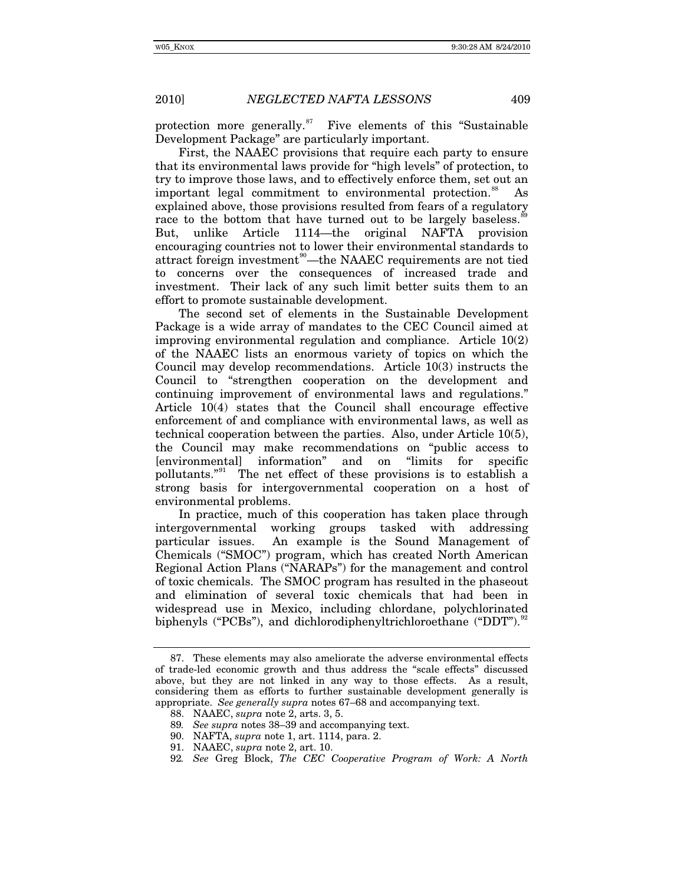protection more generally. $87$  Five elements of this "Sustainable" Development Package" are particularly important.

First, the NAAEC provisions that require each party to ensure that its environmental laws provide for "high levels" of protection, to try to improve those laws, and to effectively enforce them, set out an important legal commitment to environmental protection.<sup>[88](#page-18-1)</sup> As explained above, those provisions resulted from fears of a regulatory race to the bottom that have turned out to be largely baseless.<sup>8</sup> But, unlike Article 1114—the original NAFTA provision encouraging countries not to lower their environmental standards to attract foreign investment<sup>[90](#page-18-3)</sup>—the NAAEC requirements are not tied to concerns over the consequences of increased trade and investment. Their lack of any such limit better suits them to an effort to promote sustainable development.

The second set of elements in the Sustainable Development Package is a wide array of mandates to the CEC Council aimed at improving environmental regulation and compliance. Article 10(2) of the NAAEC lists an enormous variety of topics on which the Council may develop recommendations. Article 10(3) instructs the Council to "strengthen cooperation on the development and continuing improvement of environmental laws and regulations." Article 10(4) states that the Council shall encourage effective enforcement of and compliance with environmental laws, as well as technical cooperation between the parties. Also, under Article 10(5), the Council may make recommendations on "public access to [environmental] information" and on "limits for specific pollutants."[91](#page-18-4) The net effect of these provisions is to establish a strong basis for intergovernmental cooperation on a host of environmental problems.

In practice, much of this cooperation has taken place through intergovernmental working groups tasked with addressing particular issues. An example is the Sound Management of Chemicals ("SMOC") program, which has created North American Regional Action Plans ("NARAPs") for the management and control of toxic chemicals. The SMOC program has resulted in the phaseout and elimination of several toxic chemicals that had been in widespread use in Mexico, including chlordane, polychlorinated biphenyls ("PCBs"), and dichlorodiphenyltrichloroethane ("DDT").<sup>32</sup>

<span id="page-18-3"></span><span id="page-18-2"></span><span id="page-18-1"></span><span id="page-18-0"></span><sup>87.</sup> These elements may also ameliorate the adverse environmental effects of trade-led economic growth and thus address the "scale effects" discussed above, but they are not linked in any way to those effects. As a result, considering them as efforts to further sustainable development generally is appropriate. *See generally supra* notes 67–68 and accompanying text.

<sup>88.</sup> NAAEC, *supra* note 2, arts. 3, 5.

<sup>89</sup>*. See supra* notes 38–39 and accompanying text.

<span id="page-18-4"></span><sup>90.</sup> NAFTA, *supra* note 1, art. 1114, para. 2.

<sup>91.</sup> NAAEC, *supra* note 2, art. 10.

<span id="page-18-5"></span><sup>92</sup>*. See* Greg Block, *The CEC Cooperative Program of Work: A North*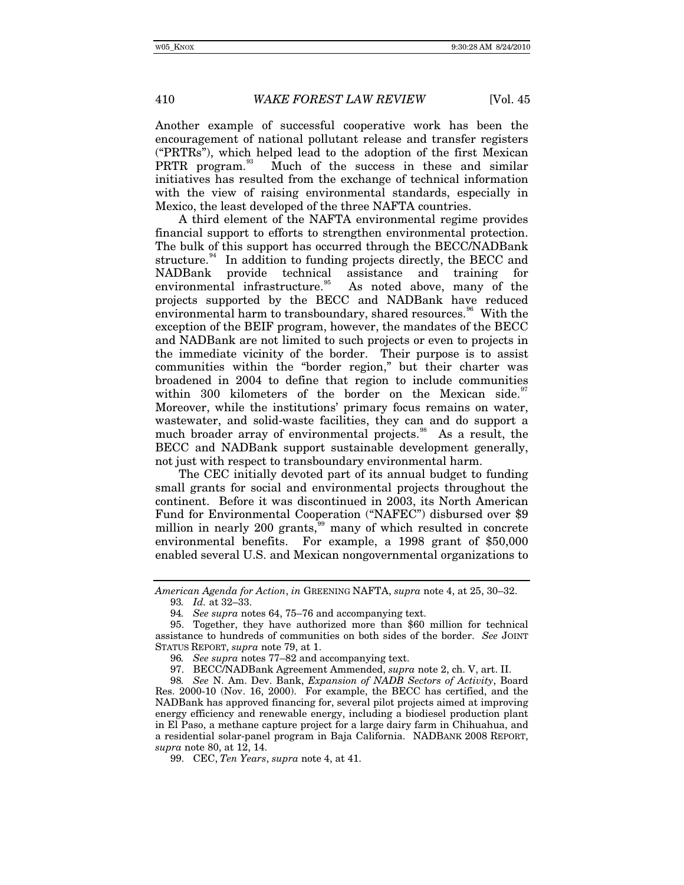Another example of successful cooperative work has been the encouragement of national pollutant release and transfer registers ("PRTRs"), which helped lead to the adoption of the first Mexican PRTR program.<sup>33</sup> Much of the success in these and similar initiatives has resulted from the exchange of technical information with the view of raising environmental standards, especially in Mexico, the least developed of the three NAFTA countries.

A third element of the NAFTA environmental regime provides financial support to efforts to strengthen environmental protection. The bulk of this support has occurred through the BECC/NADBank structure.<sup>[94](#page-19-1)</sup> In addition to funding projects directly, the BECC and NADBank provide technical assistance and training for environmental infrastructure.<sup>[95](#page-19-2)</sup> As noted above, many of the projects supported by the BECC and NADBank have reduced environmental harm to transboundary, shared resources.<sup>[96](#page-19-3)</sup> With the exception of the BEIF program, however, the mandates of the BECC and NADBank are not limited to such projects or even to projects in the immediate vicinity of the border. Their purpose is to assist communities within the "border region," but their charter was broadened in 2004 to define that region to include communities within 300 kilometers of the border on the Mexican side.<sup>9</sup> Moreover, while the institutions' primary focus remains on water, wastewater, and solid-waste facilities, they can and do support a much broader array of environmental projects.<sup>[98](#page-19-5)</sup> As a result, the BECC and NADBank support sustainable development generally, not just with respect to transboundary environmental harm.

The CEC initially devoted part of its annual budget to funding small grants for social and environmental projects throughout the continent. Before it was discontinued in 2003, its North American Fund for Environmental Cooperation ("NAFEC") disbursed over \$9 million in nearly 200 grants, $99$  many of which resulted in concrete environmental benefits. For example, a 1998 grant of \$50,000 enabled several U.S. and Mexican nongovernmental organizations to

<span id="page-19-0"></span>*American Agenda for Action*, *in* GREENING NAFTA, *supra* note 4, at 25, 30–32. 93*. Id.* at 32–33.

<sup>94</sup>*. See supra* notes 64, 75–76 and accompanying text.

<span id="page-19-2"></span><span id="page-19-1"></span><sup>95.</sup> Together, they have authorized more than \$60 million for technical assistance to hundreds of communities on both sides of the border. *See* JOINT STATUS REPORT, *supra* note 79, at 1.

<sup>96</sup>*. See supra* notes 77–82 and accompanying text.

<sup>97.</sup> BECC/NADBank Agreement Ammended, *supra* note 2, ch. V, art. II.

<span id="page-19-5"></span><span id="page-19-4"></span><span id="page-19-3"></span><sup>98</sup>*. See* N. Am. Dev. Bank, *Expansion of NADB Sectors of Activity*, Board Res. 2000-10 (Nov. 16, 2000). For example, the BECC has certified, and the NADBank has approved financing for, several pilot projects aimed at improving energy efficiency and renewable energy, including a biodiesel production plant in El Paso, a methane capture project for a large dairy farm in Chihuahua, and a residential solar-panel program in Baja California. NADBANK 2008 REPORT, *supra* note 80, at 12, 14.

<span id="page-19-6"></span><sup>99.</sup> CEC, *Ten Years*, *supra* note 4, at 41.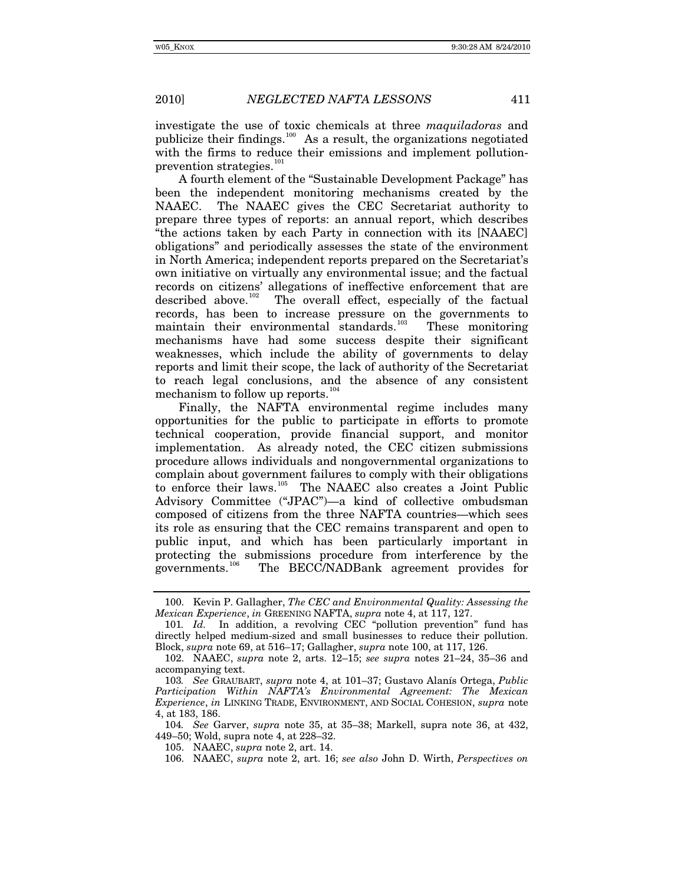investigate the use of toxic chemicals at three *maquiladoras* and publicize their findings. $^{100}$  $^{100}$  $^{100}$  As a result, the organizations negotiated with the firms to reduce their emissions and implement pollution-prevention strategies.<sup>[101](#page-20-1)</sup>

A fourth element of the "Sustainable Development Package" has been the independent monitoring mechanisms created by the NAAEC. The NAAEC gives the CEC Secretariat authority to prepare three types of reports: an annual report, which describes "the actions taken by each Party in connection with its [NAAEC] obligations" and periodically assesses the state of the environment in North America; independent reports prepared on the Secretariat's own initiative on virtually any environmental issue; and the factual records on citizens' allegations of ineffective enforcement that are described above.<sup>102</sup> The overall effect, especially of the factual The overall effect, especially of the factual records, has been to increase pressure on the governments to maintain their environmental standards.<sup>[103](#page-20-3)</sup> These monitoring mechanisms have had some success despite their significant weaknesses, which include the ability of governments to delay reports and limit their scope, the lack of authority of the Secretariat to reach legal conclusions, and the absence of any consistent mechanism to follow up reports.<sup>[104](#page-20-4)</sup>

Finally, the NAFTA environmental regime includes many opportunities for the public to participate in efforts to promote technical cooperation, provide financial support, and monitor implementation. As already noted, the CEC citizen submissions procedure allows individuals and nongovernmental organizations to complain about government failures to comply with their obligations to enforce their laws.<sup>[105](#page-20-5)</sup> The NAAEC also creates a Joint Public Advisory Committee ("JPAC")—a kind of collective ombudsman composed of citizens from the three NAFTA countries—which sees its role as ensuring that the CEC remains transparent and open to public input, and which has been particularly important in protecting the submissions procedure from interference by the governments. The BECC/NADBank agreement provides for The BECC/NADBank agreement provides for

<span id="page-20-0"></span><sup>100.</sup> Kevin P. Gallagher, *The CEC and Environmental Quality: Assessing the Mexican Experience*, *in* GREENING NAFTA, *supra* note 4, at 117, 127.

<span id="page-20-1"></span><sup>101</sup>*. Id.* In addition, a revolving CEC "pollution prevention" fund has directly helped medium-sized and small businesses to reduce their pollution. Block, *supra* note 69, at 516–17; Gallagher, *supra* note 100, at 117, 126.

<span id="page-20-2"></span><sup>102.</sup> NAAEC, *supra* note 2, arts. 12–15; *see supra* notes 21–24, 35–36 and accompanying text.

<span id="page-20-3"></span><sup>103</sup>*. See* GRAUBART, *supra* note 4, at 101–37; Gustavo Alanís Ortega, *Public Participation Within NAFTA's Environmental Agreement: The Mexican Experience*, *in* LINKING TRADE, ENVIRONMENT, AND SOCIAL COHESION, *supra* note 4, at 183, 186.

<span id="page-20-6"></span><span id="page-20-5"></span><span id="page-20-4"></span><sup>104</sup>*. See* Garver, *supra* note 35, at 35–38; Markell, supra note 36, at 432, 449–50; Wold, supra note 4, at 228–32.

<sup>105.</sup> NAAEC, *supra* note 2, art. 14.

<sup>106.</sup> NAAEC, *supra* note 2, art. 16; *see also* John D. Wirth, *Perspectives on*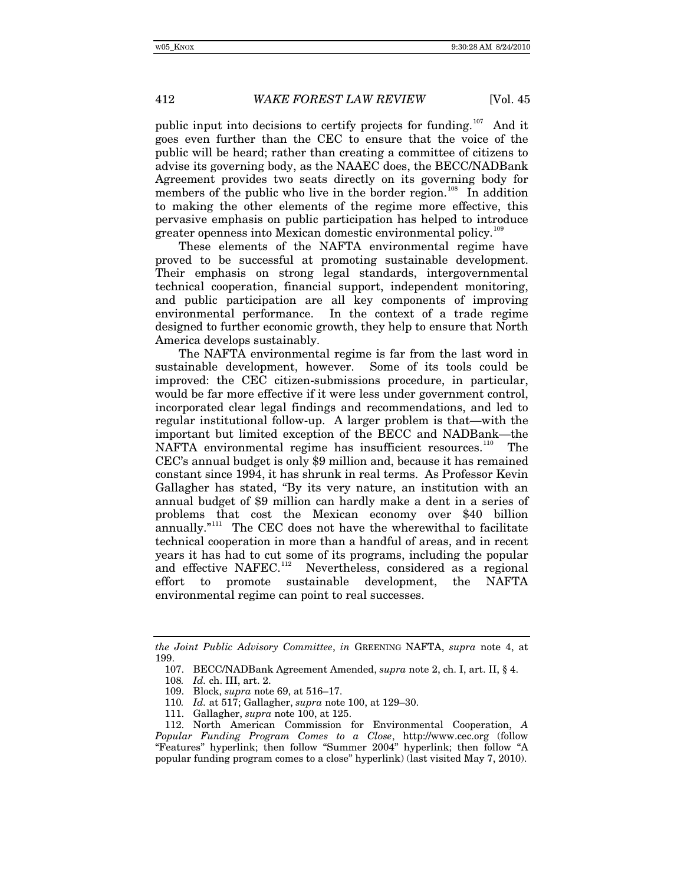public input into decisions to certify projects for funding.<sup>[107](#page-21-0)</sup> And it goes even further than the CEC to ensure that the voice of the public will be heard; rather than creating a committee of citizens to advise its governing body, as the NAAEC does, the BECC/NADBank Agreement provides two seats directly on its governing body for members of the public who live in the border region.<sup>[108](#page-21-1)</sup> In addition to making the other elements of the regime more effective, this pervasive emphasis on public participation has helped to introduce greater openness into Mexican domestic environmental policy.<sup>1</sup>

These elements of the NAFTA environmental regime have proved to be successful at promoting sustainable development. Their emphasis on strong legal standards, intergovernmental technical cooperation, financial support, independent monitoring, and public participation are all key components of improving environmental performance. In the context of a trade regime designed to further economic growth, they help to ensure that North America develops sustainably.

The NAFTA environmental regime is far from the last word in sustainable development, however. Some of its tools could be improved: the CEC citizen-submissions procedure, in particular, would be far more effective if it were less under government control, incorporated clear legal findings and recommendations, and led to regular institutional follow-up. A larger problem is that—with the important but limited exception of the BECC and NADBank—the NAFTA environmental regime has insufficient resources.<sup>[110](#page-21-3)</sup> The CEC's annual budget is only \$9 million and, because it has remained constant since 1994, it has shrunk in real terms. As Professor Kevin Gallagher has stated, "By its very nature, an institution with an annual budget of \$9 million can hardly make a dent in a series of problems that cost the Mexican economy over \$40 billion annually."<sup>[111](#page-21-4)</sup> The CEC does not have the wherewithal to facilitate technical cooperation in more than a handful of areas, and in recent years it has had to cut some of its programs, including the popular and effective NAFEC.<sup>112</sup> Nevertheless, considered as a regional Nevertheless, considered as a regional effort to promote sustainable development, the NAFTA environmental regime can point to real successes.

<span id="page-21-1"></span><span id="page-21-0"></span>*the Joint Public Advisory Committee*, *in* GREENING NAFTA, *supra* note 4, at 199.

<sup>107.</sup> BECC/NADBank Agreement Amended, *supra* note 2, ch. I, art. II, § 4.

<sup>108</sup>*. Id.* ch. III, art. 2.

<sup>109.</sup> Block, *supra* note 69, at 516–17.

<sup>110</sup>*. Id.* at 517; Gallagher, *supra* note 100, at 129–30.

<sup>111.</sup> Gallagher, *supra* note 100, at 125.

<span id="page-21-5"></span><span id="page-21-4"></span><span id="page-21-3"></span><span id="page-21-2"></span><sup>112.</sup> North American Commission for Environmental Cooperation, *A Popular Funding Program Comes to a Close*, http://www.cec.org (follow "Features" hyperlink; then follow "Summer 2004" hyperlink; then follow "A popular funding program comes to a close" hyperlink) (last visited May 7, 2010).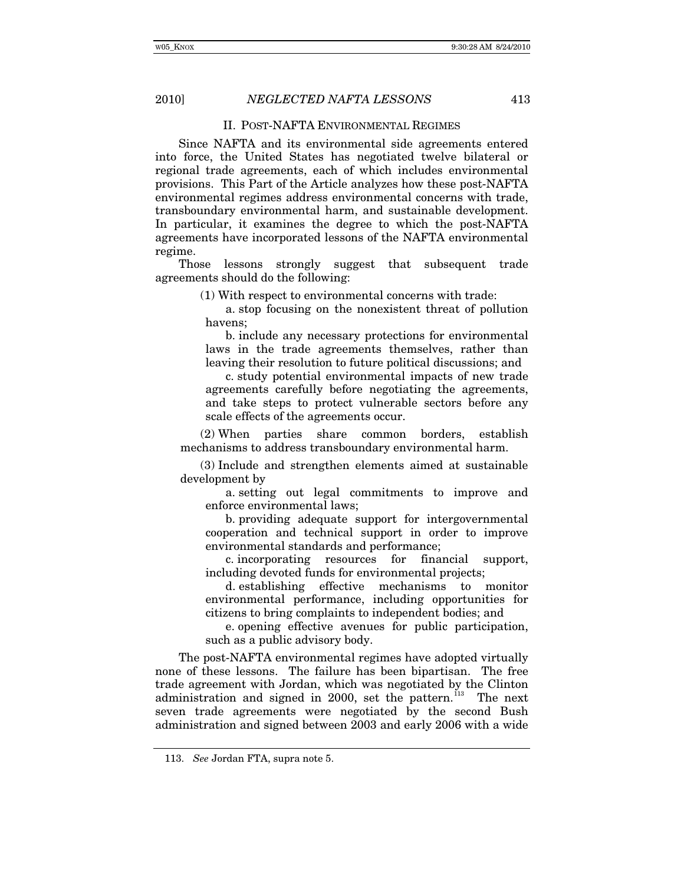#### II. POST-NAFTA ENVIRONMENTAL REGIMES

Since NAFTA and its environmental side agreements entered into force, the United States has negotiated twelve bilateral or regional trade agreements, each of which includes environmental provisions. This Part of the Article analyzes how these post-NAFTA environmental regimes address environmental concerns with trade, transboundary environmental harm, and sustainable development. In particular, it examines the degree to which the post-NAFTA agreements have incorporated lessons of the NAFTA environmental regime.

Those lessons strongly suggest that subsequent trade agreements should do the following:

(1) With respect to environmental concerns with trade:

a. stop focusing on the nonexistent threat of pollution havens;

b. include any necessary protections for environmental laws in the trade agreements themselves, rather than leaving their resolution to future political discussions; and

c. study potential environmental impacts of new trade agreements carefully before negotiating the agreements, and take steps to protect vulnerable sectors before any scale effects of the agreements occur.

(2) When parties share common borders, establish mechanisms to address transboundary environmental harm.

(3) Include and strengthen elements aimed at sustainable development by

a. setting out legal commitments to improve and enforce environmental laws;

b. providing adequate support for intergovernmental cooperation and technical support in order to improve environmental standards and performance;

c. incorporating resources for financial support, including devoted funds for environmental projects;

d. establishing effective mechanisms to monitor environmental performance, including opportunities for citizens to bring complaints to independent bodies; and

e. opening effective avenues for public participation, such as a public advisory body.

The post-NAFTA environmental regimes have adopted virtually none of these lessons. The failure has been bipartisan. The free trade agreement with Jordan, which was negotiated by the Clinton administration and signed in 2000, set the pattern.<sup>[113](#page-22-0)</sup> The next seven trade agreements were negotiated by the second Bush administration and signed between 2003 and early 2006 with a wide

<span id="page-22-0"></span><sup>113.</sup> *See* Jordan FTA, supra note 5.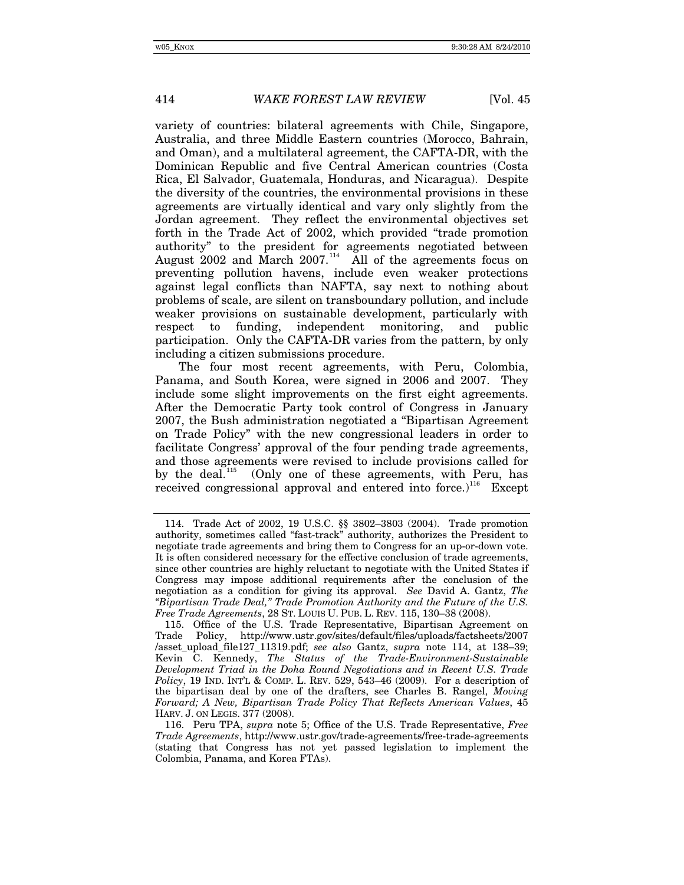variety of countries: bilateral agreements with Chile, Singapore, Australia, and three Middle Eastern countries (Morocco, Bahrain, and Oman), and a multilateral agreement, the CAFTA-DR, with the Dominican Republic and five Central American countries (Costa Rica, El Salvador, Guatemala, Honduras, and Nicaragua). Despite the diversity of the countries, the environmental provisions in these agreements are virtually identical and vary only slightly from the Jordan agreement. They reflect the environmental objectives set forth in the Trade Act of 2002, which provided "trade promotion authority" to the president for agreements negotiated between August 2002 and March 2007.<sup>[114](#page-23-0)</sup> All of the agreements focus on preventing pollution havens, include even weaker protections against legal conflicts than NAFTA, say next to nothing about problems of scale, are silent on transboundary pollution, and include weaker provisions on sustainable development, particularly with respect to funding, independent monitoring, and public participation. Only the CAFTA-DR varies from the pattern, by only including a citizen submissions procedure.

The four most recent agreements, with Peru, Colombia, Panama, and South Korea, were signed in 2006 and 2007. They include some slight improvements on the first eight agreements. After the Democratic Party took control of Congress in January 2007, the Bush administration negotiated a "Bipartisan Agreement on Trade Policy" with the new congressional leaders in order to facilitate Congress' approval of the four pending trade agreements, and those agreements were revised to include provisions called for by the deal.<sup>[115](#page-23-1)</sup> (Only one of these agreements, with Peru, has received congressional approval and entered into force.)<sup>[116](#page-23-2)</sup> Except

<span id="page-23-0"></span><sup>114.</sup> Trade Act of 2002, 19 U.S.C. §§ 3802–3803 (2004). Trade promotion authority, sometimes called "fast-track" authority, authorizes the President to negotiate trade agreements and bring them to Congress for an up-or-down vote. It is often considered necessary for the effective conclusion of trade agreements, since other countries are highly reluctant to negotiate with the United States if Congress may impose additional requirements after the conclusion of the negotiation as a condition for giving its approval. *See* David A. Gantz, *The "Bipartisan Trade Deal," Trade Promotion Authority and the Future of the U.S. Free Trade Agreements*, 28 ST. LOUIS U. PUB. L. REV. 115, 130–38 (2008).

<span id="page-23-1"></span><sup>115.</sup> Office of the U.S. Trade Representative, Bipartisan Agreement on Trade Policy, http://www.ustr.gov/sites/default/files/uploads/factsheets/2007 /asset\_upload\_file127\_11319.pdf; *see also* Gantz, *supra* note 114, at 138–39; Kevin C. Kennedy, *The Status of the Trade-Environment-Sustainable Development Triad in the Doha Round Negotiations and in Recent U.S. Trade Policy*, 19 IND. INT'L & COMP. L. REV. 529, 543–46 (2009). For a description of the bipartisan deal by one of the drafters, see Charles B. Rangel, *Moving Forward; A New, Bipartisan Trade Policy That Reflects American Values*, 45 HARV. J. ON LEGIS. 377 (2008).

<span id="page-23-2"></span><sup>116.</sup> Peru TPA, *supra* note 5; Office of the U.S. Trade Representative, *Free Trade Agreements*, http://www.ustr.gov/trade-agreements/free-trade-agreements (stating that Congress has not yet passed legislation to implement the Colombia, Panama, and Korea FTAs).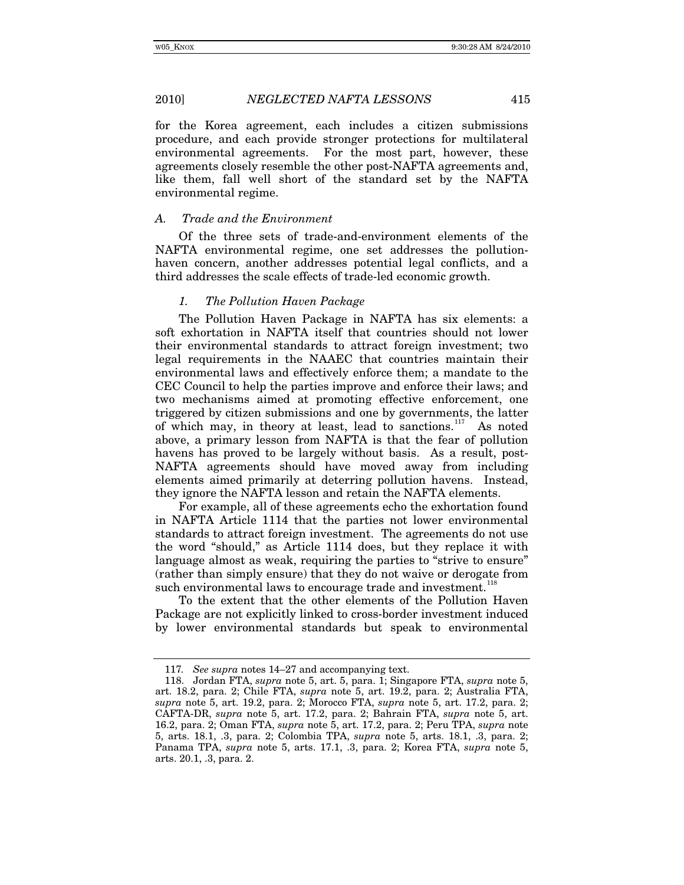for the Korea agreement, each includes a citizen submissions procedure, and each provide stronger protections for multilateral environmental agreements. For the most part, however, these agreements closely resemble the other post-NAFTA agreements and, like them, fall well short of the standard set by the NAFTA environmental regime.

### *A. Trade and the Environment*

Of the three sets of trade-and-environment elements of the NAFTA environmental regime, one set addresses the pollutionhaven concern, another addresses potential legal conflicts, and a third addresses the scale effects of trade-led economic growth.

## *1. The Pollution Haven Package*

The Pollution Haven Package in NAFTA has six elements: a soft exhortation in NAFTA itself that countries should not lower their environmental standards to attract foreign investment; two legal requirements in the NAAEC that countries maintain their environmental laws and effectively enforce them; a mandate to the CEC Council to help the parties improve and enforce their laws; and two mechanisms aimed at promoting effective enforcement, one triggered by citizen submissions and one by governments, the latter of which may, in theory at least, lead to sanctions.<sup>[117](#page-24-0)</sup> As noted above, a primary lesson from NAFTA is that the fear of pollution havens has proved to be largely without basis. As a result, post-NAFTA agreements should have moved away from including elements aimed primarily at deterring pollution havens. Instead, they ignore the NAFTA lesson and retain the NAFTA elements.

For example, all of these agreements echo the exhortation found in NAFTA Article 1114 that the parties not lower environmental standards to attract foreign investment. The agreements do not use the word "should," as Article 1114 does, but they replace it with language almost as weak, requiring the parties to "strive to ensure" (rather than simply ensure) that they do not waive or derogate from such environmental laws to encourage trade and investment.<sup>[118](#page-24-1)</sup>

To the extent that the other elements of the Pollution Haven Package are not explicitly linked to cross-border investment induced by lower environmental standards but speak to environmental

<sup>117</sup>*. See supra* notes 14–27 and accompanying text.

<span id="page-24-1"></span><span id="page-24-0"></span><sup>118.</sup> Jordan FTA, *supra* note 5, art. 5, para. 1; Singapore FTA, *supra* note 5, art. 18.2, para. 2; Chile FTA, *supra* note 5, art. 19.2, para. 2; Australia FTA, *supra* note 5, art. 19.2, para. 2; Morocco FTA, *supra* note 5, art. 17.2, para. 2; CAFTA-DR, *supra* note 5, art. 17.2, para. 2; Bahrain FTA, *supra* note 5, art. 16.2, para. 2; Oman FTA, *supra* note 5, art. 17.2, para. 2; Peru TPA, *supra* note 5, arts. 18.1, .3, para. 2; Colombia TPA, *supra* note 5, arts. 18.1, .3, para. 2; Panama TPA, *supra* note 5, arts. 17.1, .3, para. 2; Korea FTA, *supra* note 5, arts. 20.1, .3, para. 2.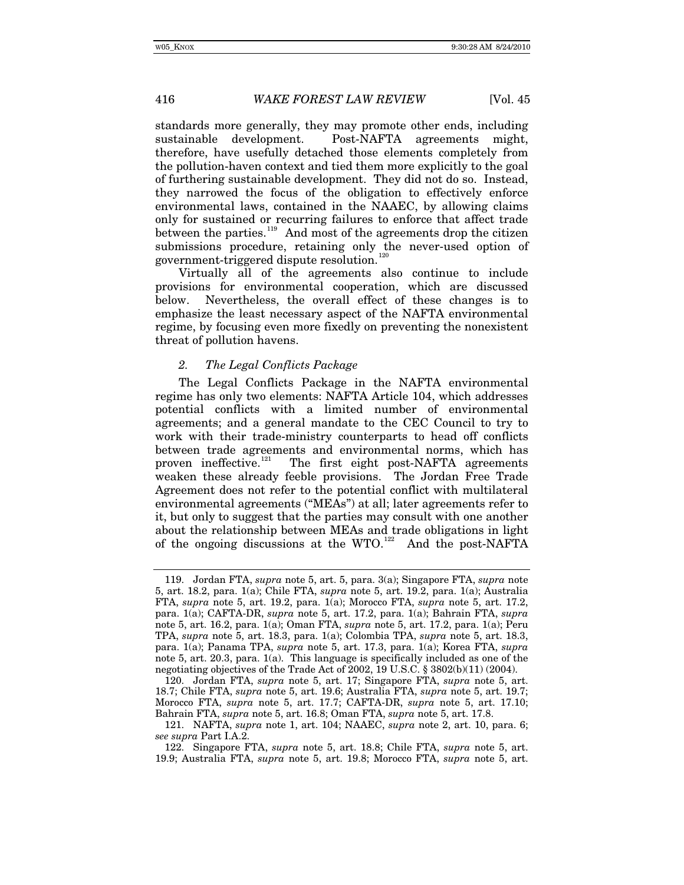standards more generally, they may promote other ends, including sustainable development. Post-NAFTA agreements might, therefore, have usefully detached those elements completely from the pollution-haven context and tied them more explicitly to the goal of furthering sustainable development. They did not do so. Instead, they narrowed the focus of the obligation to effectively enforce environmental laws, contained in the NAAEC, by allowing claims only for sustained or recurring failures to enforce that affect trade between the parties.<sup>[119](#page-25-0)</sup> And most of the agreements drop the citizen submissions procedure, retaining only the never-used option of government-triggered dispute resolution.[120](#page-25-1)

Virtually all of the agreements also continue to include provisions for environmental cooperation, which are discussed below. Nevertheless, the overall effect of these changes is to emphasize the least necessary aspect of the NAFTA environmental regime, by focusing even more fixedly on preventing the nonexistent threat of pollution havens.

#### *2. The Legal Conflicts Package*

The Legal Conflicts Package in the NAFTA environmental regime has only two elements: NAFTA Article 104, which addresses potential conflicts with a limited number of environmental agreements; and a general mandate to the CEC Council to try to work with their trade-ministry counterparts to head off conflicts between trade agreements and environmental norms, which has proven ineffective. $121$  The first eight post-NAFTA agreements weaken these already feeble provisions. The Jordan Free Trade Agreement does not refer to the potential conflict with multilateral environmental agreements ("MEAs") at all; later agreements refer to it, but only to suggest that the parties may consult with one another about the relationship between MEAs and trade obligations in light of the ongoing discussions at the WTO.<sup>[122](#page-25-3)</sup> And the post-NAFTA

<span id="page-25-0"></span><sup>119.</sup> Jordan FTA, *supra* note 5, art. 5, para. 3(a); Singapore FTA, *supra* note 5, art. 18.2, para. 1(a); Chile FTA, *supra* note 5, art. 19.2, para. 1(a); Australia FTA, *supra* note 5, art. 19.2, para. 1(a); Morocco FTA, *supra* note 5, art. 17.2, para. 1(a); CAFTA-DR, *supra* note 5, art. 17.2, para. 1(a); Bahrain FTA, *supra*  note 5, art. 16.2, para. 1(a); Oman FTA, *supra* note 5, art. 17.2, para. 1(a); Peru TPA, *supra* note 5, art. 18.3, para. 1(a); Colombia TPA, *supra* note 5, art. 18.3, para. 1(a); Panama TPA, *supra* note 5, art. 17.3, para. 1(a); Korea FTA, *supra*  note 5, art. 20.3, para. 1(a). This language is specifically included as one of the negotiating objectives of the Trade Act of 2002, 19 U.S.C. § 3802(b)(11) (2004).

<span id="page-25-1"></span><sup>120.</sup> Jordan FTA, *supra* note 5, art. 17; Singapore FTA, *supra* note 5, art. 18.7; Chile FTA, *supra* note 5, art. 19.6; Australia FTA, *supra* note 5, art. 19.7; Morocco FTA, *supra* note 5, art. 17.7; CAFTA-DR, *supra* note 5, art. 17.10; Bahrain FTA, *supra* note 5, art. 16.8; Oman FTA, *supra* note 5, art. 17.8.

<span id="page-25-2"></span><sup>121.</sup> NAFTA, *supra* note 1, art. 104; NAAEC, *supra* note 2, art. 10, para. 6; *see supra* Part I.A.2.

<span id="page-25-3"></span><sup>122.</sup> Singapore FTA, *supra* note 5, art. 18.8; Chile FTA, *supra* note 5, art. 19.9; Australia FTA, *supra* note 5, art. 19.8; Morocco FTA, *supra* note 5, art.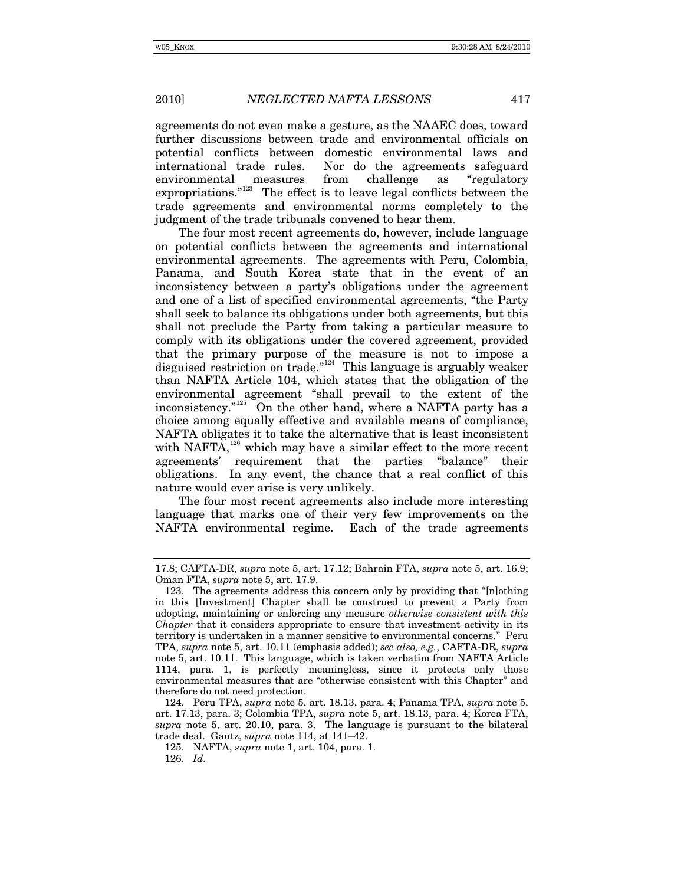agreements do not even make a gesture, as the NAAEC does, toward further discussions between trade and environmental officials on potential conflicts between domestic environmental laws and international trade rules. Nor do the agreements safeguard environmental measures from challenge as "regulatory expropriations."[123](#page-26-0) The effect is to leave legal conflicts between the trade agreements and environmental norms completely to the judgment of the trade tribunals convened to hear them.

The four most recent agreements do, however, include language on potential conflicts between the agreements and international environmental agreements. The agreements with Peru, Colombia, Panama, and South Korea state that in the event of an inconsistency between a party's obligations under the agreement and one of a list of specified environmental agreements, "the Party shall seek to balance its obligations under both agreements, but this shall not preclude the Party from taking a particular measure to comply with its obligations under the covered agreement, provided that the primary purpose of the measure is not to impose a disguised restriction on trade."<sup>[124](#page-26-1)</sup> This language is arguably weaker than NAFTA Article 104, which states that the obligation of the environmental agreement "shall prevail to the extent of the inconsistency."<sup>[125](#page-26-2)</sup> On the other hand, where a NAFTA party has a choice among equally effective and available means of compliance, NAFTA obligates it to take the alternative that is least inconsistent with  $NAFTA$ ,<sup>[126](#page-26-3)</sup> which may have a similar effect to the more recent agreements' requirement that the parties "balance" their obligations. In any event, the chance that a real conflict of this nature would ever arise is very unlikely.

The four most recent agreements also include more interesting language that marks one of their very few improvements on the NAFTA environmental regime. Each of the trade agreements

<sup>17.8;</sup> CAFTA-DR, *supra* note 5, art. 17.12; Bahrain FTA, *supra* note 5, art. 16.9; Oman FTA, *supra* note 5, art. 17.9.

<span id="page-26-0"></span><sup>123.</sup> The agreements address this concern only by providing that "[n]othing in this [Investment] Chapter shall be construed to prevent a Party from adopting, maintaining or enforcing any measure *otherwise consistent with this Chapter* that it considers appropriate to ensure that investment activity in its territory is undertaken in a manner sensitive to environmental concerns."Peru TPA, *supra* note 5, art. 10.11 (emphasis added); *see also, e.g.*, CAFTA-DR, *supra*  note 5, art. 10.11. This language, which is taken verbatim from NAFTA Article 1114, para. 1, is perfectly meaningless, since it protects only those environmental measures that are "otherwise consistent with this Chapter" and therefore do not need protection.

<span id="page-26-2"></span><span id="page-26-1"></span><sup>124.</sup> Peru TPA, *supra* note 5, art. 18.13, para. 4; Panama TPA, *supra* note 5, art. 17.13, para. 3; Colombia TPA, *supra* note 5, art. 18.13, para. 4; Korea FTA, *supra* note 5, art. 20.10, para. 3. The language is pursuant to the bilateral trade deal. Gantz, *supra* note 114, at 141–42.

<span id="page-26-3"></span><sup>125.</sup> NAFTA, *supra* note 1, art. 104, para. 1.

<sup>126</sup>*. Id.*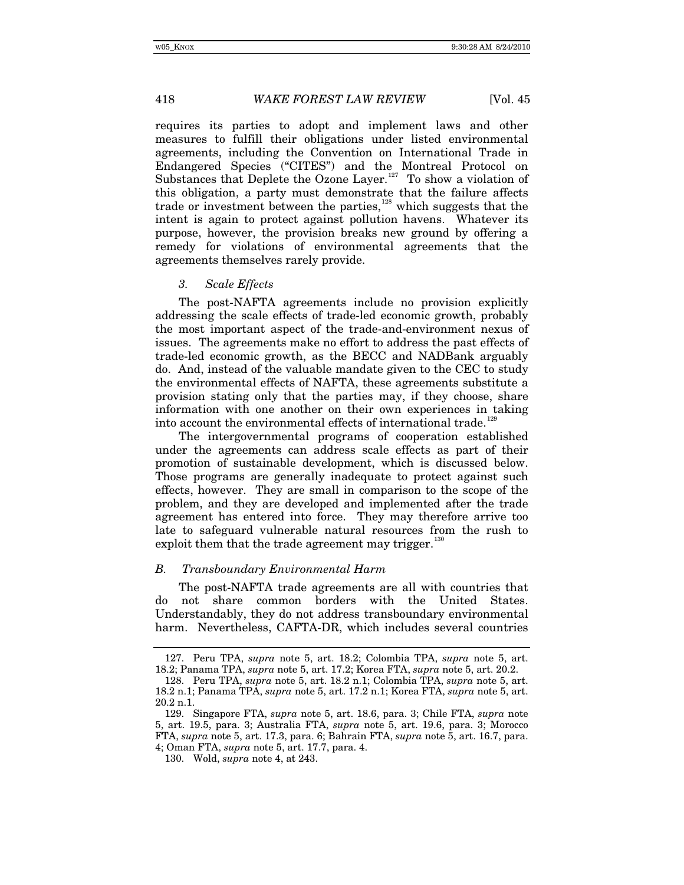requires its parties to adopt and implement laws and other measures to fulfill their obligations under listed environmental agreements, including the Convention on International Trade in Endangered Species ("CITES") and the Montreal Protocol on Substances that Deplete the Ozone Layer.<sup>[127](#page-27-0)</sup> To show a violation of this obligation, a party must demonstrate that the failure affects trade or investment between the parties,[128](#page-27-1) which suggests that the intent is again to protect against pollution havens. Whatever its purpose, however, the provision breaks new ground by offering a remedy for violations of environmental agreements that the agreements themselves rarely provide.

## *3. Scale Effects*

The post-NAFTA agreements include no provision explicitly addressing the scale effects of trade-led economic growth, probably the most important aspect of the trade-and-environment nexus of issues. The agreements make no effort to address the past effects of trade-led economic growth, as the BECC and NADBank arguably do. And, instead of the valuable mandate given to the CEC to study the environmental effects of NAFTA, these agreements substitute a provision stating only that the parties may, if they choose, share information with one another on their own experiences in taking into account the environmental effects of international trade.<sup>[129](#page-27-2)</sup>

The intergovernmental programs of cooperation established under the agreements can address scale effects as part of their promotion of sustainable development, which is discussed below. Those programs are generally inadequate to protect against such effects, however. They are small in comparison to the scope of the problem, and they are developed and implemented after the trade agreement has entered into force. They may therefore arrive too late to safeguard vulnerable natural resources from the rush to exploit them that the trade agreement may trigger.<sup>[130](#page-27-3)</sup>

### *B. Transboundary Environmental Harm*

The post-NAFTA trade agreements are all with countries that do not share common borders with the United States. Understandably, they do not address transboundary environmental harm. Nevertheless, CAFTA-DR, which includes several countries

<span id="page-27-0"></span><sup>127.</sup> Peru TPA, *supra* note 5, art. 18.2; Colombia TPA, *supra* note 5, art. 18.2; Panama TPA, *supra* note 5, art. 17.2; Korea FTA, *supra* note 5, art. 20.2.

<span id="page-27-1"></span><sup>128.</sup> Peru TPA, *supra* note 5, art. 18.2 n.1; Colombia TPA, *supra* note 5, art. 18.2 n.1; Panama TPA, *supra* note 5, art. 17.2 n.1; Korea FTA, *supra* note 5, art. 20.2 n.1.

<span id="page-27-3"></span><span id="page-27-2"></span><sup>129.</sup> Singapore FTA, *supra* note 5, art. 18.6, para. 3; Chile FTA, *supra* note 5, art. 19.5, para. 3; Australia FTA, *supra* note 5, art. 19.6, para. 3; Morocco FTA, *supra* note 5, art. 17.3, para. 6; Bahrain FTA, *supra* note 5, art. 16.7, para. 4; Oman FTA, *supra* note 5, art. 17.7, para. 4.

<sup>130.</sup> Wold, *supra* note 4, at 243.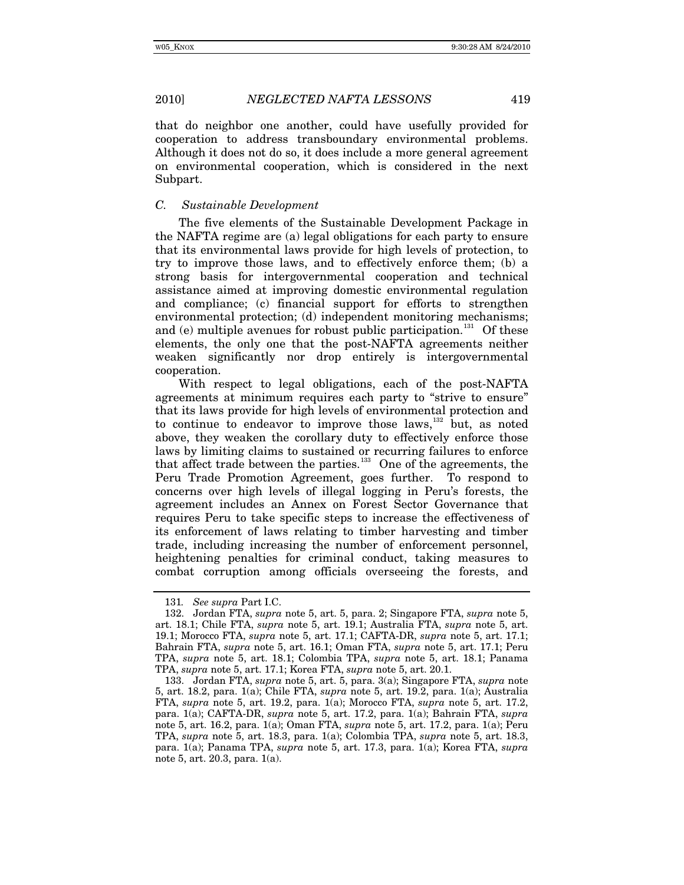that do neighbor one another, could have usefully provided for cooperation to address transboundary environmental problems. Although it does not do so, it does include a more general agreement on environmental cooperation, which is considered in the next Subpart.

## *C. Sustainable Development*

The five elements of the Sustainable Development Package in the NAFTA regime are (a) legal obligations for each party to ensure that its environmental laws provide for high levels of protection, to try to improve those laws, and to effectively enforce them; (b) a strong basis for intergovernmental cooperation and technical assistance aimed at improving domestic environmental regulation and compliance; (c) financial support for efforts to strengthen environmental protection; (d) independent monitoring mechanisms; and (e) multiple avenues for robust public participation.<sup>[131](#page-28-0)</sup> Of these elements, the only one that the post-NAFTA agreements neither weaken significantly nor drop entirely is intergovernmental cooperation.

With respect to legal obligations, each of the post-NAFTA agreements at minimum requires each party to "strive to ensure" that its laws provide for high levels of environmental protection and to continue to endeavor to improve those laws,<sup>[132](#page-28-1)</sup> but, as noted above, they weaken the corollary duty to effectively enforce those laws by limiting claims to sustained or recurring failures to enforce that affect trade between the parties.<sup>[133](#page-28-2)</sup> One of the agreements, the Peru Trade Promotion Agreement, goes further. To respond to concerns over high levels of illegal logging in Peru's forests, the agreement includes an Annex on Forest Sector Governance that requires Peru to take specific steps to increase the effectiveness of its enforcement of laws relating to timber harvesting and timber trade, including increasing the number of enforcement personnel, heightening penalties for criminal conduct, taking measures to combat corruption among officials overseeing the forests, and

<sup>131</sup>*. See supra* Part I.C.

<span id="page-28-1"></span><span id="page-28-0"></span><sup>132.</sup> Jordan FTA, *supra* note 5, art. 5, para. 2; Singapore FTA, *supra* note 5, art. 18.1; Chile FTA, *supra* note 5, art. 19.1; Australia FTA, *supra* note 5, art. 19.1; Morocco FTA, *supra* note 5, art. 17.1; CAFTA-DR, *supra* note 5, art. 17.1; Bahrain FTA, *supra* note 5, art. 16.1; Oman FTA, *supra* note 5, art. 17.1; Peru TPA, *supra* note 5, art. 18.1; Colombia TPA, *supra* note 5, art. 18.1; Panama TPA, *supra* note 5, art. 17.1; Korea FTA, *supra* note 5, art. 20.1.

<span id="page-28-2"></span><sup>133.</sup> Jordan FTA, *supra* note 5, art. 5, para. 3(a); Singapore FTA, *supra* note 5, art. 18.2, para. 1(a); Chile FTA, *supra* note 5, art. 19.2, para. 1(a); Australia FTA, *supra* note 5, art. 19.2, para. 1(a); Morocco FTA, *supra* note 5, art. 17.2, para. 1(a); CAFTA-DR, *supra* note 5, art. 17.2, para. 1(a); Bahrain FTA, *supra*  note 5, art. 16.2, para. 1(a); Oman FTA, *supra* note 5, art. 17.2, para. 1(a); Peru TPA, *supra* note 5, art. 18.3, para. 1(a); Colombia TPA, *supra* note 5, art. 18.3, para. 1(a); Panama TPA, *supra* note 5, art. 17.3, para. 1(a); Korea FTA, *supra*  note 5, art. 20.3, para. 1(a).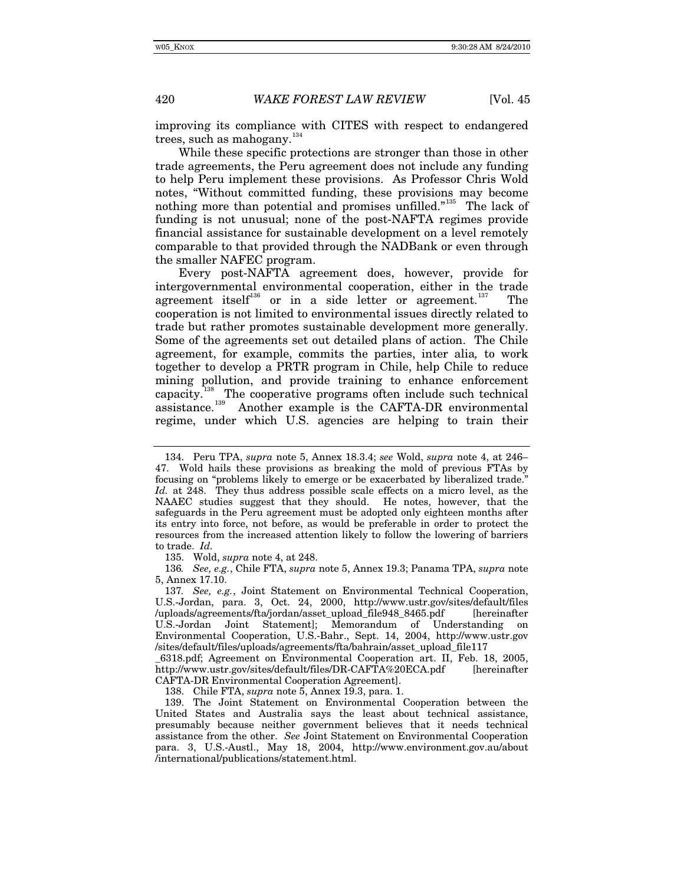improving its compliance with CITES with respect to endangered trees, such as mahogany.<sup>[134](#page-29-0)</sup>

While these specific protections are stronger than those in other trade agreements, the Peru agreement does not include any funding to help Peru implement these provisions. As Professor Chris Wold notes, "Without committed funding, these provisions may become nothing more than potential and promises unfilled."[135](#page-29-1) The lack of funding is not unusual; none of the post-NAFTA regimes provide financial assistance for sustainable development on a level remotely comparable to that provided through the NADBank or even through the smaller NAFEC program.

Every post-NAFTA agreement does, however, provide for intergovernmental environmental cooperation, either in the trade agreement itself<sup>[136](#page-29-2)</sup> or in a side letter or agreement.<sup>[137](#page-29-3)</sup> The cooperation is not limited to environmental issues directly related to trade but rather promotes sustainable development more generally. Some of the agreements set out detailed plans of action. The Chile agreement, for example, commits the parties, inter alia*,* to work together to develop a PRTR program in Chile, help Chile to reduce mining pollution, and provide training to enhance enforcement capacity.<sup>138</sup> The cooperative programs often include such technical assistance.<sup>139</sup> Another example is the CAFTA-DR environmental <sup>8</sup> The cooperative programs often include such technical Another example is the CAFTA-DR environmental regime, under which U.S. agencies are helping to train their

135. Wold, *supra* note 4, at 248.

<span id="page-29-2"></span><span id="page-29-1"></span>136*. See, e.g.*, Chile FTA, *supra* note 5, Annex 19.3; Panama TPA, *supra* note 5, Annex 17.10.

138. Chile FTA, *supra* note 5, Annex 19.3, para. 1.

<span id="page-29-0"></span><sup>134.</sup> Peru TPA, *supra* note 5, Annex 18.3.4; *see* Wold, *supra* note 4, at 246– 47. Wold hails these provisions as breaking the mold of previous FTAs by focusing on "problems likely to emerge or be exacerbated by liberalized trade." *Id.* at 248. They thus address possible scale effects on a micro level, as the NAAEC studies suggest that they should. He notes, however, that the safeguards in the Peru agreement must be adopted only eighteen months after its entry into force, not before, as would be preferable in order to protect the resources from the increased attention likely to follow the lowering of barriers to trade. *Id.*

<span id="page-29-3"></span><sup>137</sup>*. See, e.g.*, Joint Statement on Environmental Technical Cooperation, U.S.-Jordan, para. 3, Oct. 24, 2000, http://www.ustr.gov/sites/default/files /uploads/agreements/fta/jordan/asset\_upload\_file948\_8465.pdf [hereinafter U.S.-Jordan Joint Statement]; Memorandum of Understanding on Environmental Cooperation, U.S.-Bahr., Sept. 14, 2004, http://www.ustr.gov /sites/default/files/uploads/agreements/fta/bahrain/asset\_upload\_file117

\_6318.pdf; Agreement on Environmental Cooperation art. II, Feb. 18, 2005, http://www.ustr.gov/sites/default/files/DR-CAFTA%20ECA.pdf [hereinafter CAFTA-DR Environmental Cooperation Agreement].

<span id="page-29-5"></span><span id="page-29-4"></span><sup>139.</sup> The Joint Statement on Environmental Cooperation between the United States and Australia says the least about technical assistance, presumably because neither government believes that it needs technical assistance from the other. *See* Joint Statement on Environmental Cooperation para. 3, U.S.-Austl., May 18, 2004, http://www.environment.gov.au/about /international/publications/statement.html.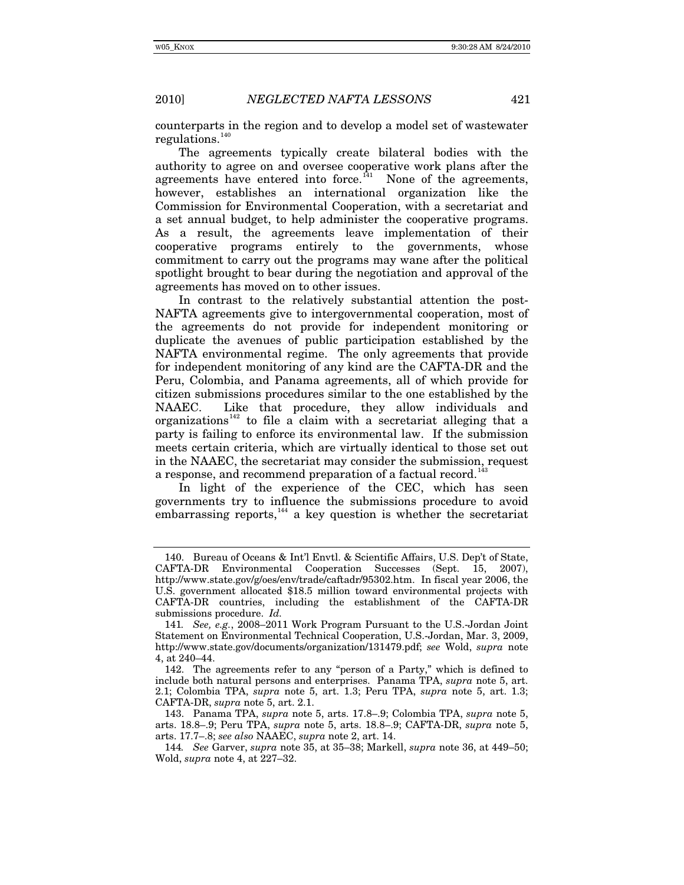counterparts in the region and to develop a model set of wastewater regulations.<sup>14</sup>

The agreements typically create bilateral bodies with the authority to agree on and oversee cooperative work plans after the agreements have entered into force. $^{141}$  $^{141}$  $^{141}$  None of the agreements, however, establishes an international organization like the Commission for Environmental Cooperation, with a secretariat and a set annual budget, to help administer the cooperative programs. As a result, the agreements leave implementation of their cooperative programs entirely to the governments, whose commitment to carry out the programs may wane after the political spotlight brought to bear during the negotiation and approval of the agreements has moved on to other issues.

In contrast to the relatively substantial attention the post-NAFTA agreements give to intergovernmental cooperation, most of the agreements do not provide for independent monitoring or duplicate the avenues of public participation established by the NAFTA environmental regime. The only agreements that provide for independent monitoring of any kind are the CAFTA-DR and the Peru, Colombia, and Panama agreements, all of which provide for citizen submissions procedures similar to the one established by the NAAEC. Like that procedure, they allow individuals and organizations<sup> $142$ </sup> to file a claim with a secretariat alleging that a party is failing to enforce its environmental law. If the submission meets certain criteria, which are virtually identical to those set out in the NAAEC, the secretariat may consider the submission, request a response, and recommend preparation of a factual record.<sup>14</sup>

In light of the experience of the CEC, which has seen governments try to influence the submissions procedure to avoid embarrassing reports,<sup>[144](#page-30-4)</sup> a key question is whether the secretariat

<span id="page-30-0"></span><sup>140.</sup> Bureau of Oceans & Int'l Envtl. & Scientific Affairs, U.S. Dep't of State, CAFTA-DR Environmental Cooperation Successes (Sept. 15, 2007), http://www.state.gov/g/oes/env/trade/caftadr/95302.htm. In fiscal year 2006, the U.S. government allocated \$18.5 million toward environmental projects with CAFTA-DR countries, including the establishment of the CAFTA-DR submissions procedure. *Id.*

<span id="page-30-1"></span><sup>141</sup>*. See, e.g.*, 2008–2011 Work Program Pursuant to the U.S.-Jordan Joint Statement on Environmental Technical Cooperation, U.S.-Jordan, Mar. 3, 2009, http://www.state.gov/documents/organization/131479.pdf; *see* Wold, *supra* note 4, at 240–44.

<span id="page-30-2"></span><sup>142.</sup> The agreements refer to any "person of a Party," which is defined to include both natural persons and enterprises. Panama TPA, *supra* note 5, art. 2.1; Colombia TPA, *supra* note 5, art. 1.3; Peru TPA, *supra* note 5, art. 1.3; CAFTA-DR, *supra* note 5, art. 2.1.

<span id="page-30-3"></span><sup>143.</sup> Panama TPA, *supra* note 5, arts. 17.8–.9; Colombia TPA, *supra* note 5, arts. 18.8–.9; Peru TPA, *supra* note 5, arts. 18.8–.9; CAFTA-DR, *supra* note 5, arts. 17.7–.8; *see also* NAAEC, *supra* note 2, art. 14.

<span id="page-30-4"></span><sup>144</sup>*. See* Garver, *supra* note 35, at 35–38; Markell, *supra* note 36, at 449–50; Wold, *supra* note 4, at 227–32.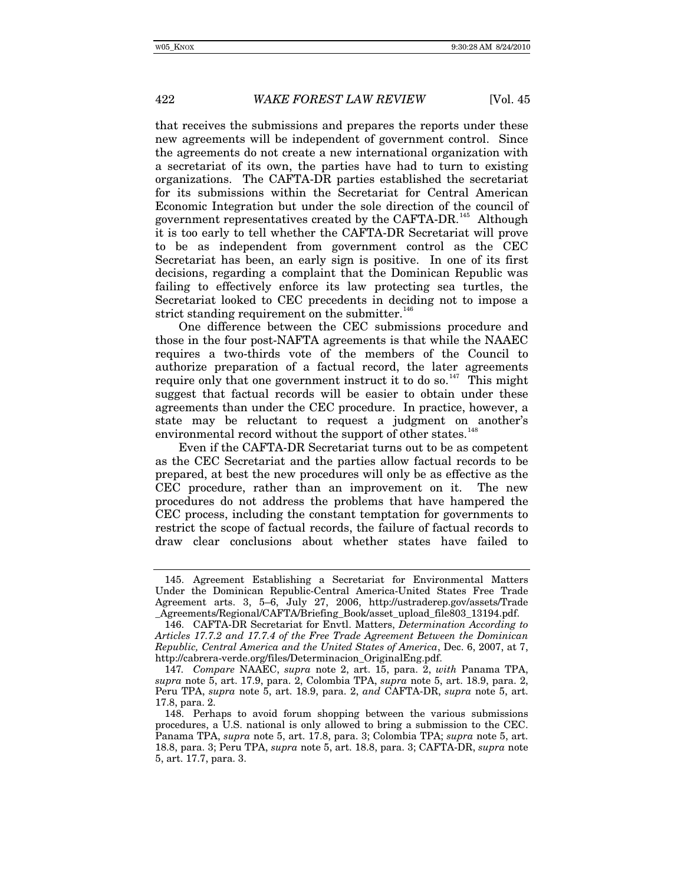that receives the submissions and prepares the reports under these new agreements will be independent of government control. Since the agreements do not create a new international organization with a secretariat of its own, the parties have had to turn to existing organizations. The CAFTA-DR parties established the secretariat for its submissions within the Secretariat for Central American Economic Integration but under the sole direction of the council of government representatives created by the CAFTA-DR.<sup>[145](#page-31-0)</sup> Although it is too early to tell whether the CAFTA-DR Secretariat will prove to be as independent from government control as the CEC Secretariat has been, an early sign is positive. In one of its first decisions, regarding a complaint that the Dominican Republic was failing to effectively enforce its law protecting sea turtles, the Secretariat looked to CEC precedents in deciding not to impose a strict standing requirement on the submitter.<sup>[146](#page-31-1)</sup>

One difference between the CEC submissions procedure and those in the four post-NAFTA agreements is that while the NAAEC requires a two-thirds vote of the members of the Council to authorize preparation of a factual record, the later agreements require only that one government instruct it to do so.<sup>[147](#page-31-2)</sup> This might suggest that factual records will be easier to obtain under these agreements than under the CEC procedure. In practice, however, a state may be reluctant to request a judgment on another's environmental record without the support of other states.<sup>1</sup>

Even if the CAFTA-DR Secretariat turns out to be as competent as the CEC Secretariat and the parties allow factual records to be prepared, at best the new procedures will only be as effective as the CEC procedure, rather than an improvement on it. The new procedures do not address the problems that have hampered the CEC process, including the constant temptation for governments to restrict the scope of factual records, the failure of factual records to draw clear conclusions about whether states have failed to

<span id="page-31-0"></span><sup>145.</sup> Agreement Establishing a Secretariat for Environmental Matters Under the Dominican Republic-Central America-United States Free Trade Agreement arts. 3, 5–6, July 27, 2006, http://ustraderep.gov/assets/Trade \_Agreements/Regional/CAFTA/Briefing\_Book/asset\_upload\_file803\_13194.pdf.

<span id="page-31-1"></span><sup>146.</sup> CAFTA-DR Secretariat for Envtl. Matters, *Determination According to Articles 17.7.2 and 17.7.4 of the Free Trade Agreement Between the Dominican Republic, Central America and the United States of America*, Dec. 6, 2007, at 7, http://cabrera-verde.org/files/Determinacion\_OriginalEng.pdf.

<span id="page-31-2"></span><sup>147</sup>*. Compare* NAAEC, *supra* note 2, art. 15, para. 2, *with* Panama TPA, *supra* note 5, art. 17.9, para. 2, Colombia TPA, *supra* note 5, art. 18.9, para. 2, Peru TPA, *supra* note 5, art. 18.9, para. 2, *and* CAFTA-DR, *supra* note 5, art. 17.8, para. 2.

<span id="page-31-3"></span><sup>148.</sup> Perhaps to avoid forum shopping between the various submissions procedures, a U.S. national is only allowed to bring a submission to the CEC. Panama TPA, *supra* note 5, art. 17.8, para. 3; Colombia TPA; *supra* note 5, art. 18.8, para. 3; Peru TPA, *supra* note 5, art. 18.8, para. 3; CAFTA-DR, *supra* note 5, art. 17.7, para. 3.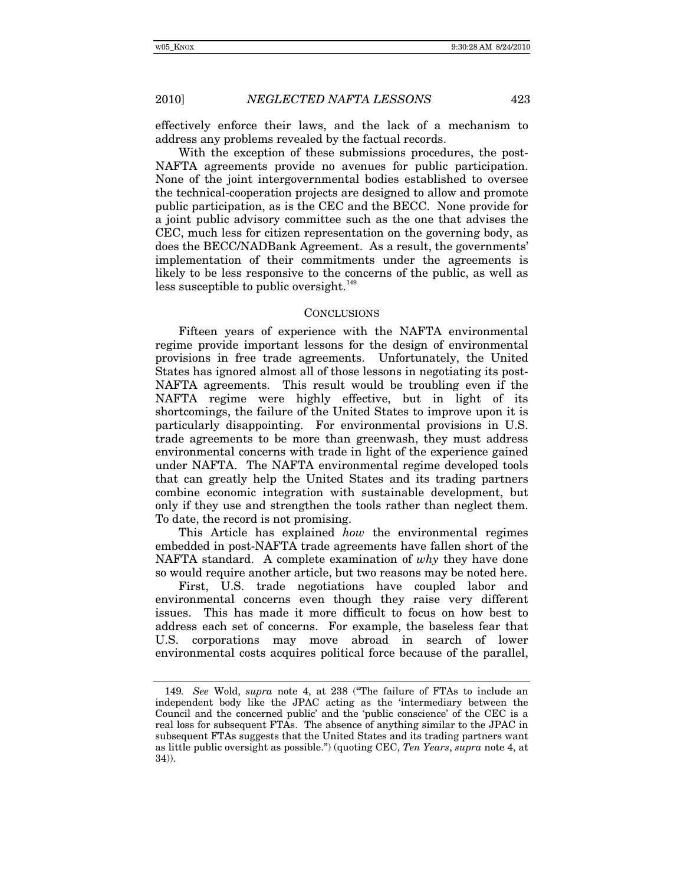effectively enforce their laws, and the lack of a mechanism to address any problems revealed by the factual records.

With the exception of these submissions procedures, the post-NAFTA agreements provide no avenues for public participation. None of the joint intergovernmental bodies established to oversee the technical-cooperation projects are designed to allow and promote public participation, as is the CEC and the BECC. None provide for a joint public advisory committee such as the one that advises the CEC, much less for citizen representation on the governing body, as does the BECC/NADBank Agreement. As a result, the governments' implementation of their commitments under the agreements is likely to be less responsive to the concerns of the public, as well as less susceptible to public oversight.<sup>[149](#page-32-0)</sup>

#### **CONCLUSIONS**

Fifteen years of experience with the NAFTA environmental regime provide important lessons for the design of environmental provisions in free trade agreements. Unfortunately, the United States has ignored almost all of those lessons in negotiating its post-NAFTA agreements. This result would be troubling even if the NAFTA regime were highly effective, but in light of its shortcomings, the failure of the United States to improve upon it is particularly disappointing. For environmental provisions in U.S. trade agreements to be more than greenwash, they must address environmental concerns with trade in light of the experience gained under NAFTA. The NAFTA environmental regime developed tools that can greatly help the United States and its trading partners combine economic integration with sustainable development, but only if they use and strengthen the tools rather than neglect them. To date, the record is not promising.

This Article has explained *how* the environmental regimes embedded in post-NAFTA trade agreements have fallen short of the NAFTA standard. A complete examination of *why* they have done so would require another article, but two reasons may be noted here.

First, U.S. trade negotiations have coupled labor and environmental concerns even though they raise very different issues. This has made it more difficult to focus on how best to address each set of concerns. For example, the baseless fear that U.S. corporations may move abroad in search of lower environmental costs acquires political force because of the parallel,

<span id="page-32-0"></span><sup>149</sup>*. See* Wold, *supra* note 4, at 238 ("The failure of FTAs to include an independent body like the JPAC acting as the 'intermediary between the Council and the concerned public' and the 'public conscience' of the CEC is a real loss for subsequent FTAs. The absence of anything similar to the JPAC in subsequent FTAs suggests that the United States and its trading partners want as little public oversight as possible.") (quoting CEC, *Ten Years*, *supra* note 4, at 34)).